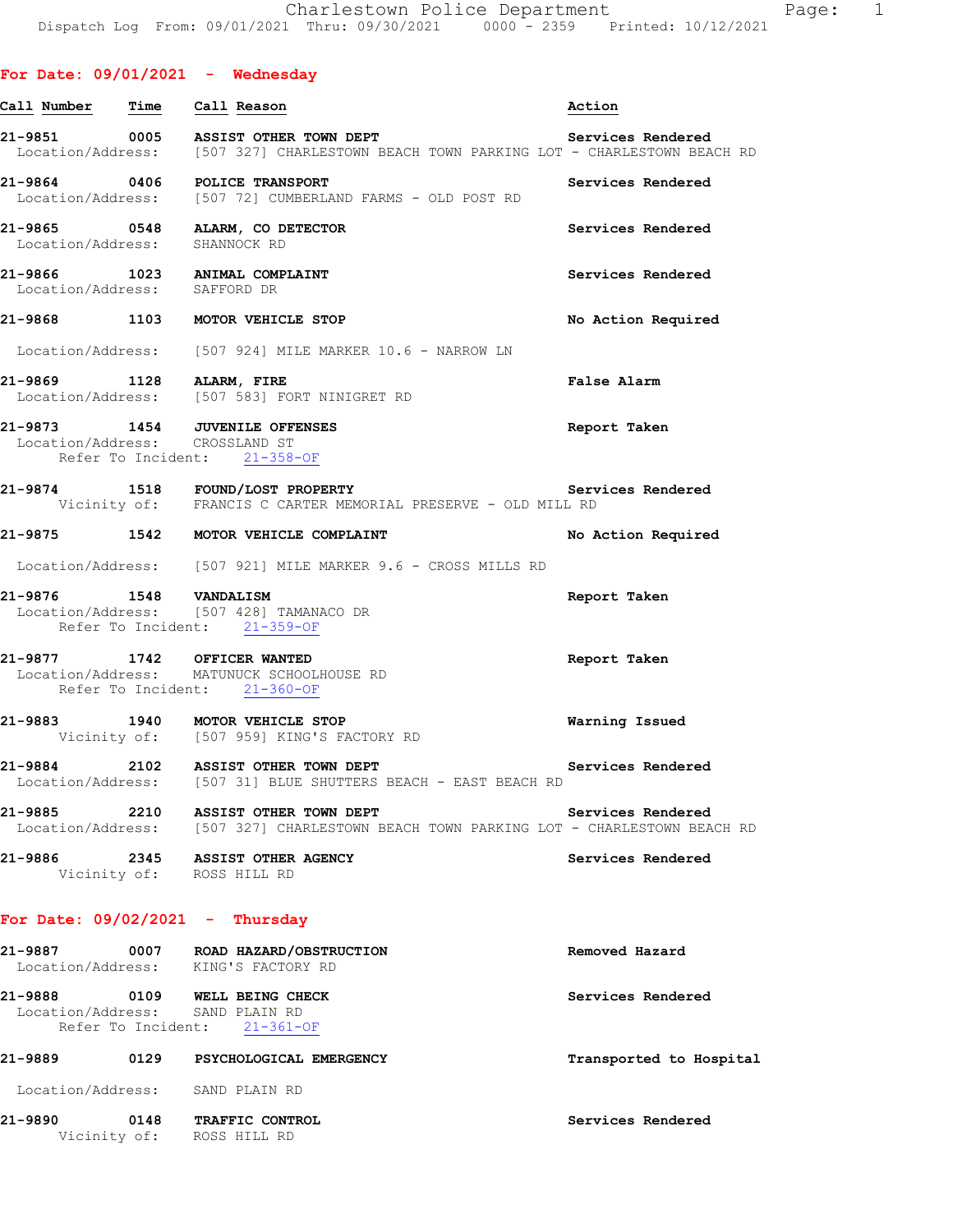| Call Number Time                  | Call Reason                                                                                                          | Action                  |
|-----------------------------------|----------------------------------------------------------------------------------------------------------------------|-------------------------|
|                                   | Location/Address: [507 327] CHARLESTOWN BEACH TOWN PARKING LOT - CHARLESTOWN BEACH RD                                | Services Rendered       |
|                                   | 21-9864 0406 POLICE TRANSPORT<br>Location/Address: [507 72] CUMBERLAND FARMS - OLD POST RD                           | Services Rendered       |
| Location/Address: SHANNOCK RD     | 21-9865 0548 ALARM, CO DETECTOR                                                                                      | Services Rendered       |
| Location/Address: SAFFORD DR      | 21-9866 1023 ANIMAL COMPLAINT                                                                                        | Services Rendered       |
|                                   | 21-9868 1103 MOTOR VEHICLE STOP                                                                                      | No Action Required      |
|                                   | Location/Address: [507 924] MILE MARKER 10.6 - NARROW LN                                                             |                         |
|                                   | 21-9869 1128 ALARM, FIRE<br>Location/Address: [507 583] FORT NINIGRET RD                                             | <b>False Alarm</b>      |
| Location/Address: CROSSLAND ST    | 21-9873 1454 JUVENILE OFFENSES<br>Refer To Incident: 21-358-OF                                                       | Report Taken            |
|                                   | 21-9874 1518 FOUND/LOST PROPERTY<br>Vicinity of: FRANCIS C CARTER MEMORIAL PRESERVE - OLD MILL RD                    | Services Rendered       |
|                                   | 21-9875 1542 MOTOR VEHICLE COMPLAINT                                                                                 | No Action Required      |
|                                   | Location/Address: [507 921] MILE MARKER 9.6 - CROSS MILLS RD                                                         |                         |
|                                   | 21-9876 1548 VANDALISM<br>Location/Address: [507 428] TAMANACO DR<br>Refer To Incident: 21-359-OF                    | Report Taken            |
|                                   | 21-9877 1742 OFFICER WANTED<br>Location/Address: MATUNUCK SCHOOLHOUSE RD<br>Refer To Incident: 21-360-OF             | Report Taken            |
|                                   | 21-9883 1940 MOTOR VEHICLE STOP<br>Vicinity of: [507 959] KING'S FACTORY RD                                          | <b>Warning Issued</b>   |
|                                   | 21-9884 2102 ASSIST OTHER TOWN DEPT<br>Location/Address: [507 31] BLUE SHUTTERS BEACH - EAST BEACH RD                | Services Rendered       |
| 21-9885                           | 2210 ASSIST OTHER TOWN DEPT<br>Location/Address: [507 327] CHARLESTOWN BEACH TOWN PARKING LOT - CHARLESTOWN BEACH RD | Services Rendered       |
|                                   | 21-9886 2345 ASSIST OTHER AGENCY<br>Vicinity of: ROSS HILL RD                                                        | Services Rendered       |
| For Date: $09/02/2021$ - Thursday |                                                                                                                      |                         |
|                                   | 21-9887 0007 ROAD HAZARD/OBSTRUCTION<br>Location/Address: KING'S FACTORY RD                                          | Removed Hazard          |
| Location/Address: SAND PLAIN RD   | 21-9888 0109 WELL BEING CHECK<br>Refer To Incident: 21-361-OF                                                        | Services Rendered       |
| 21-9889                           | 0129 PSYCHOLOGICAL EMERGENCY                                                                                         | Transported to Hospital |
| Location/Address: SAND PLAIN RD   |                                                                                                                      |                         |
| 21-9890                           | 0148 TRAFFIC CONTROL<br>Vicinity of: ROSS HILL RD                                                                    | Services Rendered       |
|                                   |                                                                                                                      |                         |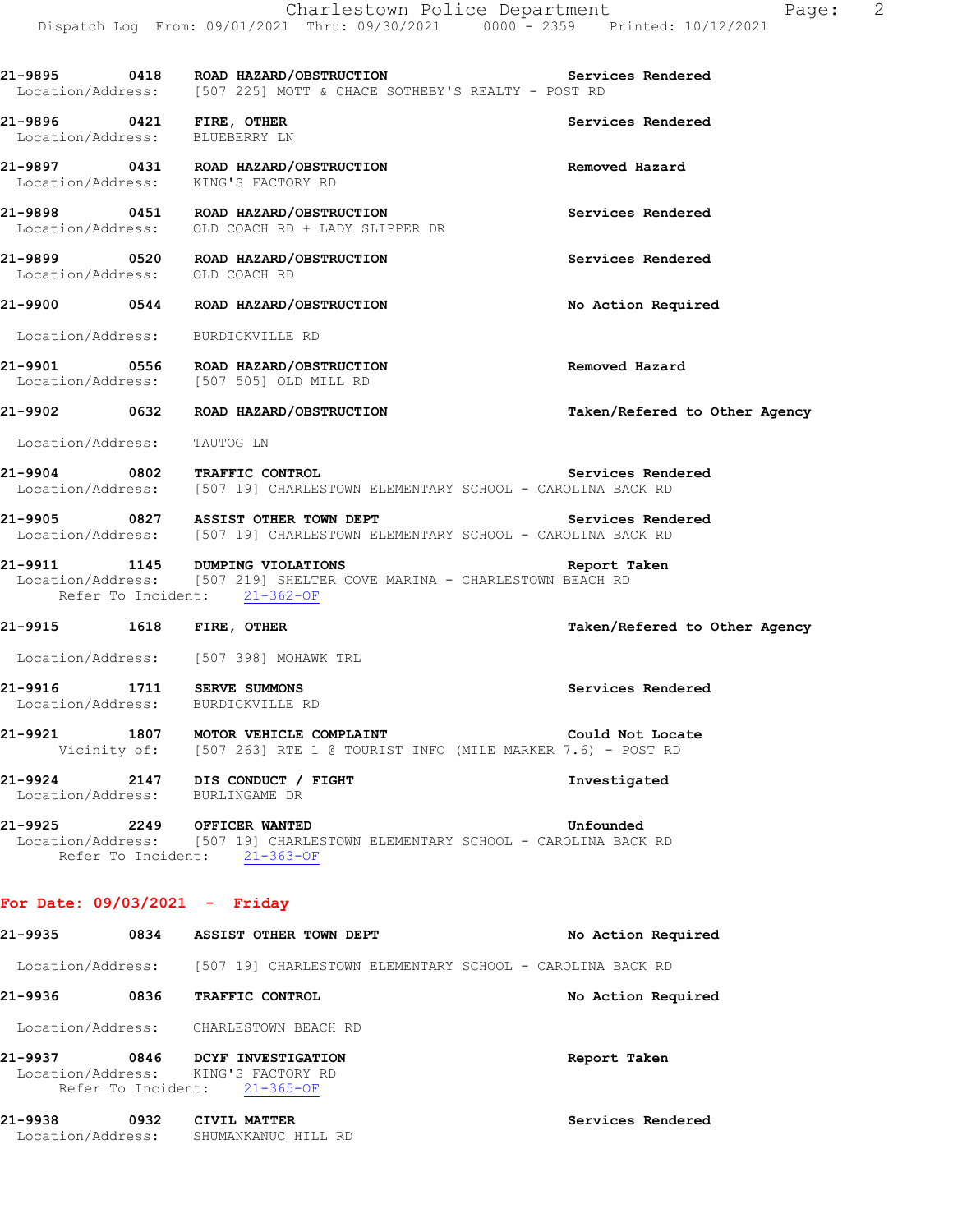|                             | 21-9895 0418 ROAD HAZARD/OBSTRUCTION<br>Location/Address: [507 225] MOTT & CHACE SOTHEBY'S REALTY - POST RD                                     | Services Rendered             |
|-----------------------------|-------------------------------------------------------------------------------------------------------------------------------------------------|-------------------------------|
|                             | 21-9896 0421 FIRE, OTHER<br>Location/Address: BLUEBERRY LN                                                                                      | Services Rendered             |
|                             | 21-9897 0431 ROAD HAZARD/OBSTRUCTION<br>Location/Address: KING'S FACTORY RD                                                                     | Removed Hazard                |
|                             | 21-9898 0451 ROAD HAZARD/OBSTRUCTION<br>Location/Address: OLD COACH RD + LADY SLIPPER DR                                                        | Services Rendered             |
|                             | 21-9899 0520 ROAD HAZARD/OBSTRUCTION<br>Location/Address: OLD COACH RD                                                                          | Services Rendered             |
|                             | 21-9900 0544 ROAD HAZARD/OBSTRUCTION                                                                                                            | No Action Required            |
|                             | Location/Address: BURDICKVILLE RD                                                                                                               |                               |
|                             | 21-9901 0556 ROAD HAZARD/OBSTRUCTION<br>Location/Address: [507 505] OLD MILL RD                                                                 | Removed Hazard                |
|                             | 21-9902 0632 ROAD HAZARD/OBSTRUCTION                                                                                                            | Taken/Refered to Other Agency |
| Location/Address: TAUTOG LN |                                                                                                                                                 |                               |
|                             | 21-9904 0802 TRAFFIC CONTROL Services Rend<br>Location/Address: [507 19] CHARLESTOWN ELEMENTARY SCHOOL - CAROLINA BACK RD                       | Services Rendered             |
|                             | 21-9905 0827 ASSIST OTHER TOWN DEPT<br>Location/Address: [507 19] CHARLESTOWN ELEMENTARY SCHOOL - CAROLINA BACK RD                              | Services Rendered             |
|                             | 21-9911 1145 DUMPING VIOLATIONS<br>Location/Address: [507 219] SHELTER COVE MARINA - CHARLESTOWN BEACH RD<br>Refer To Incident: 21-362-OF       | Report Taken                  |
|                             | 21-9915 1618 FIRE, OTHER                                                                                                                        | Taken/Refered to Other Agency |
|                             | Location/Address: [507 398] MOHAWK TRL                                                                                                          |                               |
|                             | 21-9916 1711 SERVE SUMMONS<br>Location/Address: BURDICKVILLE RD                                                                                 | Services Rendered             |
|                             | <b>21-9921 1807 MOTOR VEHICLE COMPLAINT COMEXAGES</b> Could Not Loca<br>Vicinity of: [507 263] RTE 1 @ TOURIST INFO (MILE MARKER 7.6) - POST RD | Could Not Locate              |
|                             | 21-9924 2147 DIS CONDUCT / FIGHT<br>Location/Address: BURLINGAME DR                                                                             | Investigated                  |
|                             | 21-9925 2249 OFFICER WANTED<br>Location/Address: [507 19] CHARLESTOWN ELEMENTARY SCHOOL - CAROLINA BACK RD<br>Refer To Incident: 21-363-OF      | Unfounded                     |
|                             | For Date: $09/03/2021$ - Friday                                                                                                                 |                               |
|                             | 21-9935 0834 ASSIST OTHER TOWN DEPT                                                                                                             | No Action Required            |
|                             | Location/Address: [507 19] CHARLESTOWN ELEMENTARY SCHOOL - CAROLINA BACK RD                                                                     |                               |
|                             | 21-9936 0836 TRAFFIC CONTROL                                                                                                                    | No Action Required            |
|                             | Location/Address: CHARLESTOWN BEACH RD                                                                                                          |                               |
|                             | 21-9937 0846 DCYF INVESTIGATION<br>Location/Address: KING'S FACTORY RD<br>Refer To Incident: 21-365-OF                                          | Report Taken                  |
|                             | 21-9938 0932 CIVIL MATTER<br>Location/Address: SHUMANKANUC HILL RD                                                                              | Services Rendered             |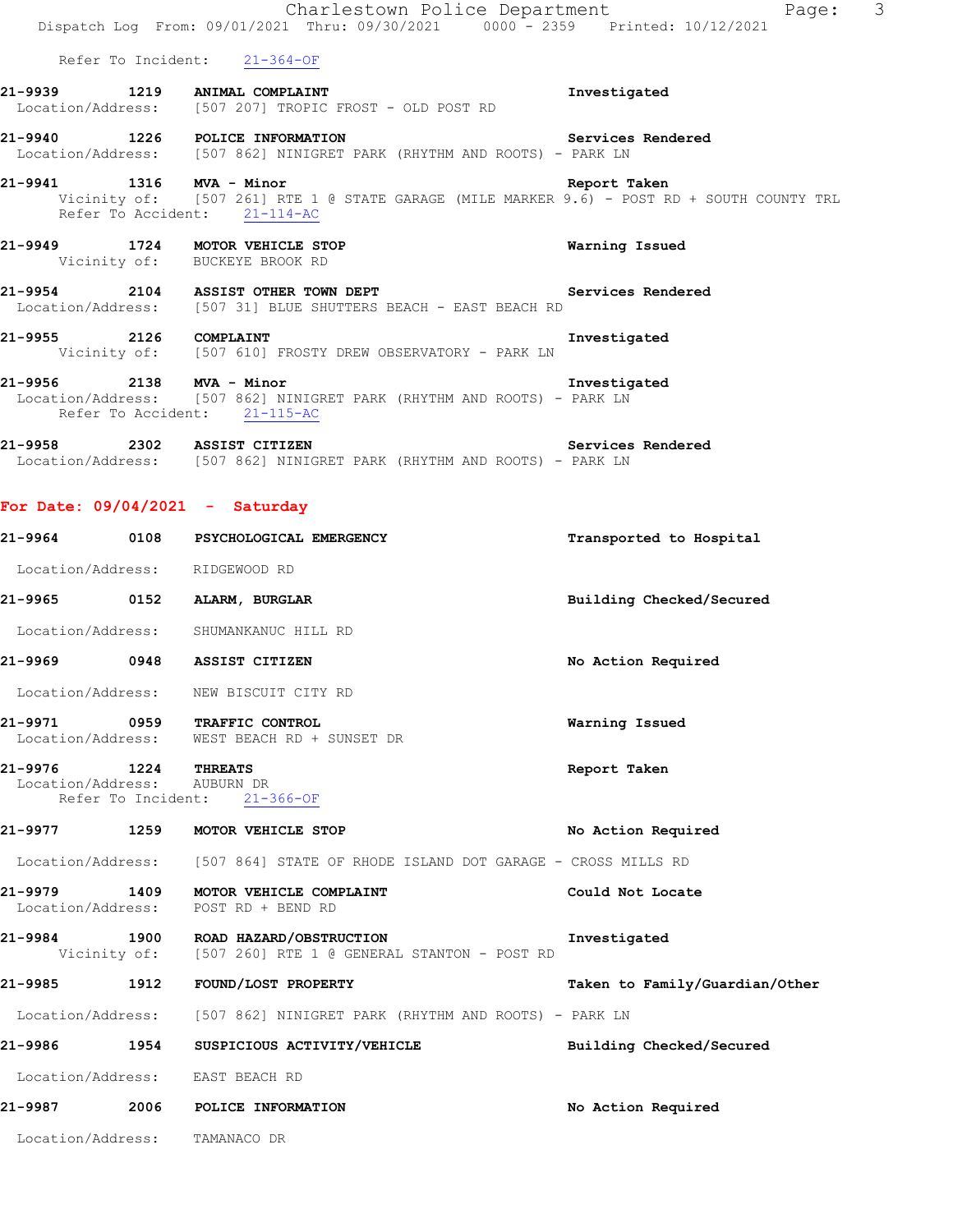|                                                     | Charlestown Police Department<br>Dispatch Log From: 09/01/2021 Thru: 09/30/2021 0000 - 2359 Printed: 10/12/2021                                        | Page: 3                        |
|-----------------------------------------------------|--------------------------------------------------------------------------------------------------------------------------------------------------------|--------------------------------|
|                                                     | Refer To Incident: 21-364-OF                                                                                                                           |                                |
|                                                     | 21-9939 1219 ANIMAL COMPLAINT<br>Location/Address: [507 207] TROPIC FROST - OLD POST RD                                                                | Investigated                   |
|                                                     | 21-9940 1226 POLICE INFORMATION <b>1200 121-9940</b> Services Rendered<br>Location/Address: [507 862] NINIGRET PARK (RHYTHM AND ROOTS) - PARK LN       |                                |
|                                                     | 21-9941 1316 MVA - Minor<br>Vicinity of: [507 261] RTE 1 @ STATE GARAGE (MILE MARKER 9.6) - POST RD + SOUTH COUNTY TRL<br>Refer To Accident: 21-114-AC | Report Taken                   |
|                                                     | 21-9949 1724 MOTOR VEHICLE STOP<br>Vicinity of: BUCKEYE BROOK RD                                                                                       | Warning Issued                 |
|                                                     | 21-9954 2104 ASSIST OTHER TOWN DEPT Services Rendered<br>Location/Address: [507 31] BLUE SHUTTERS BEACH - EAST BEACH RD                                |                                |
|                                                     | 21-9955 2126 COMPLAINT<br>Vicinity of: [507 610] FROSTY DREW OBSERVATORY - PARK LN                                                                     | Investigated                   |
|                                                     | 21-9956<br>2138 MVA - Minor<br>Location/Address: [507 862] NINIGRET PARK (RHYTHM AND ROOTS) - PARK LN<br>Refer To Accident: 21-115-AC                  |                                |
|                                                     | 21-9958 2302 ASSIST CITIZEN<br>Location/Address: [507 862] NINIGRET PARK (RHYTHM AND ROOTS) - PARK LN                                                  | Services Rendered              |
| For Date: $09/04/2021$ - Saturday                   |                                                                                                                                                        |                                |
|                                                     | 21-9964 0108 PSYCHOLOGICAL EMERGENCY                                                                                                                   | Transported to Hospital        |
| Location/Address: RIDGEWOOD RD                      |                                                                                                                                                        |                                |
|                                                     | 21-9965 0152 ALARM, BURGLAR                                                                                                                            | Building Checked/Secured       |
|                                                     | Location/Address: SHUMANKANUC HILL RD                                                                                                                  |                                |
|                                                     | 21-9969 0948 ASSIST CITIZEN                                                                                                                            | No Action Required             |
| Location/Address:                                   | NEW BISCUIT CITY RD                                                                                                                                    |                                |
|                                                     | 21-9971 0959 TRAFFIC CONTROL<br>Location/Address: WEST BEACH RD + SUNSET DR                                                                            | Warning Issued                 |
| 21-9976 1224 THREATS<br>Location/Address: AUBURN DR | Refer To Incident: 21-366-OF                                                                                                                           | Report Taken                   |
|                                                     | 21-9977 1259 MOTOR VEHICLE STOP                                                                                                                        | No Action Required             |
|                                                     | Location/Address: [507 864] STATE OF RHODE ISLAND DOT GARAGE - CROSS MILLS RD                                                                          |                                |
|                                                     | 21-9979 1409 MOTOR VEHICLE COMPLAINT<br>Location/Address: POST RD + BEND RD                                                                            | Could Not Locate               |
|                                                     | 21-9984 1900 ROAD HAZARD/OBSTRUCTION<br>Vicinity of: [507 260] RTE 1 @ GENERAL STANTON - POST RD                                                       | Investigated                   |
|                                                     | 21-9985 1912 FOUND/LOST PROPERTY                                                                                                                       | Taken to Family/Guardian/Other |
|                                                     | Location/Address: [507 862] NINIGRET PARK (RHYTHM AND ROOTS) - PARK LN                                                                                 |                                |
|                                                     | 21-9986 1954 SUSPICIOUS ACTIVITY/VEHICLE Building Checked/Secured                                                                                      |                                |
| Location/Address: EAST BEACH RD                     |                                                                                                                                                        |                                |
|                                                     | 21-9987 2006 POLICE INFORMATION                                                                                                                        | No Action Required             |
| Location/Address: TAMANACO DR                       |                                                                                                                                                        |                                |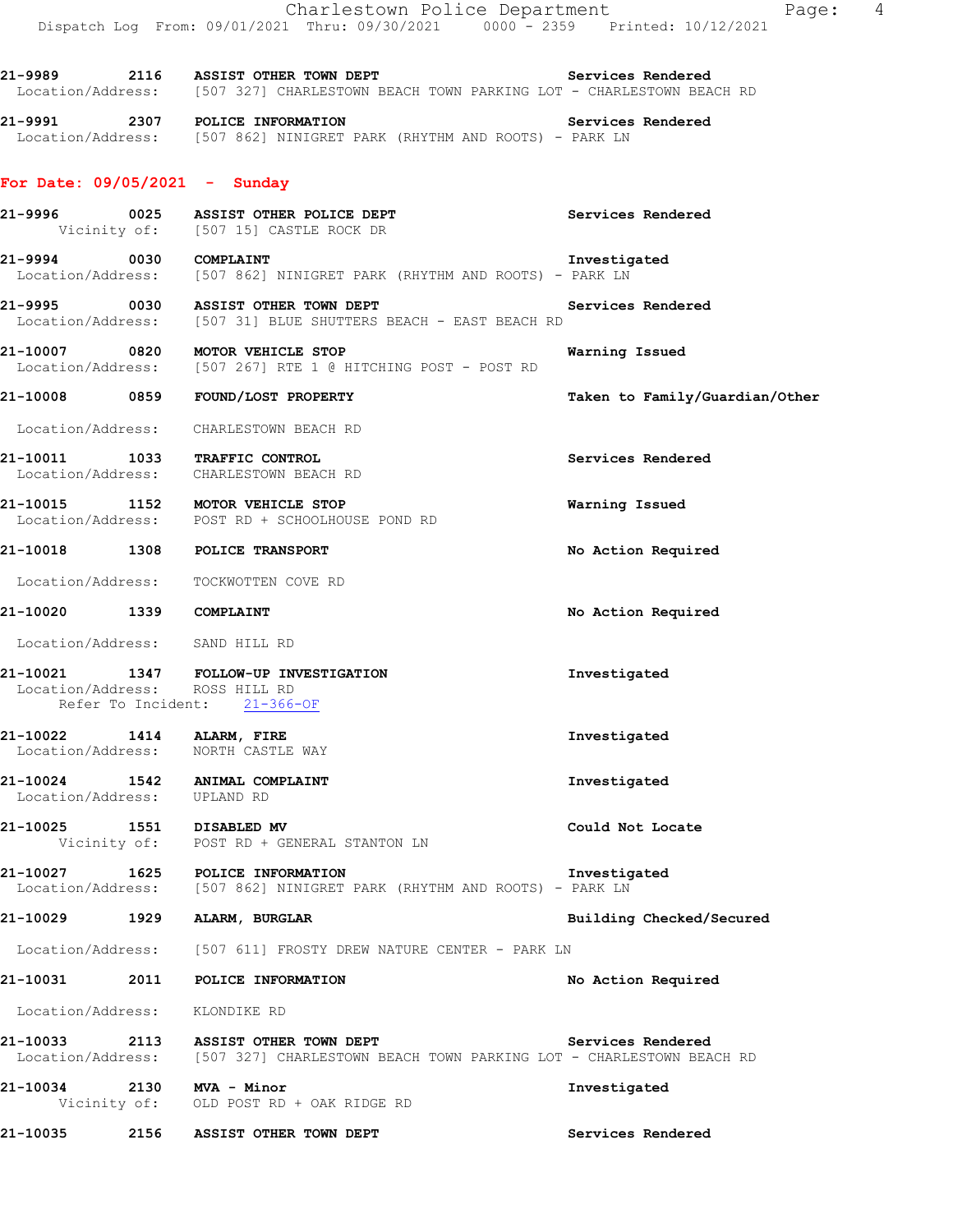21-9989 2116 ASSIST OTHER TOWN DEPT **120 Services Rendered** Location/Address: [507 327] CHARLESTOWN BEACH TOWN PARKING LOT - CHARLESTOWN BEACH RD

**21-9991 2307 POLICE INFORMATION Services Rendered**  Location/Address: [507 862] NINIGRET PARK (RHYTHM AND ROOTS) - PARK LN

## **For Date: 09/05/2021 - Sunday**

- **21-9996 0025 ASSIST OTHER POLICE DEPT Services Rendered**  Vicinity of: [507 15] CASTLE ROCK DR
- **21-9994 0030 COMPLAINT Investigated**  [507 862] NINIGRET PARK (RHYTHM AND ROOTS) - PARK LN
- **21-9995 0030 ASSIST OTHER TOWN DEPT Services Rendered**  Location/Address: [507 31] BLUE SHUTTERS BEACH - EAST BEACH RD
- **21-10007 0820 MOTOR VEHICLE STOP Warning Issued** Location/Address: [507 267] RTE 1 @ HITCHING POST POST RD [507 267] RTE 1 @ HITCHING POST - POST RD

## **21-10008 0859 FOUND/LOST PROPERTY Taken to Family/Guardian/Other**

- Location/Address: CHARLESTOWN BEACH RD
- **21-10011 1033 TRAFFIC CONTROL Services Rendered**  Location/Address: CHARLESTOWN BEACH RD
- **21-10015 1152 MOTOR VEHICLE STOP Warning Issued**  Location/Address: POST RD + SCHOOLHOUSE POND RD
- **21-10018 1308 POLICE TRANSPORT No Action Required**
- Location/Address: TOCKWOTTEN COVE RD
- **21-10020 1339 COMPLAINT No Action Required**
- Location/Address: SAND HILL RD

### **21-10021 1347 FOLLOW-UP INVESTIGATION Investigated**  Location/Address: ROSS HILL RD Refer To Incident: 21-366-OF

- **21-10022 1414 ALARM, FIRE Investigated**  Location/Address: NORTH CASTLE WAY
- **21-10024 1542 ANIMAL COMPLAINT Investigated**  Location/Address: UPLAND RD
- **21-10025 1551 DISABLED MV Could Not Locate**  Vicinity of: POST RD + GENERAL STANTON LN
- **21-10027 1625 POLICE INFORMATION Investigated**  [507 862] NINIGRET PARK (RHYTHM AND ROOTS) - PARK LN
- **21-10029 1929 ALARM, BURGLAR Building Checked/Secured**
- Location/Address: [507 611] FROSTY DREW NATURE CENTER PARK LN

## **21-10031 2011 POLICE INFORMATION No Action Required**

- Location/Address: KLONDIKE RD
- **21-10033 2113 ASSIST OTHER TOWN DEPT Services Rendered**  Location/Address: [507 327] CHARLESTOWN BEACH TOWN PARKING LOT - CHARLESTOWN BEACH RD
- **21-10034 2130 MVA Minor Investigated**  Vicinity of: OLD POST RD + OAK RIDGE RD
- **21-10035 2156 ASSIST OTHER TOWN DEPT Services Rendered**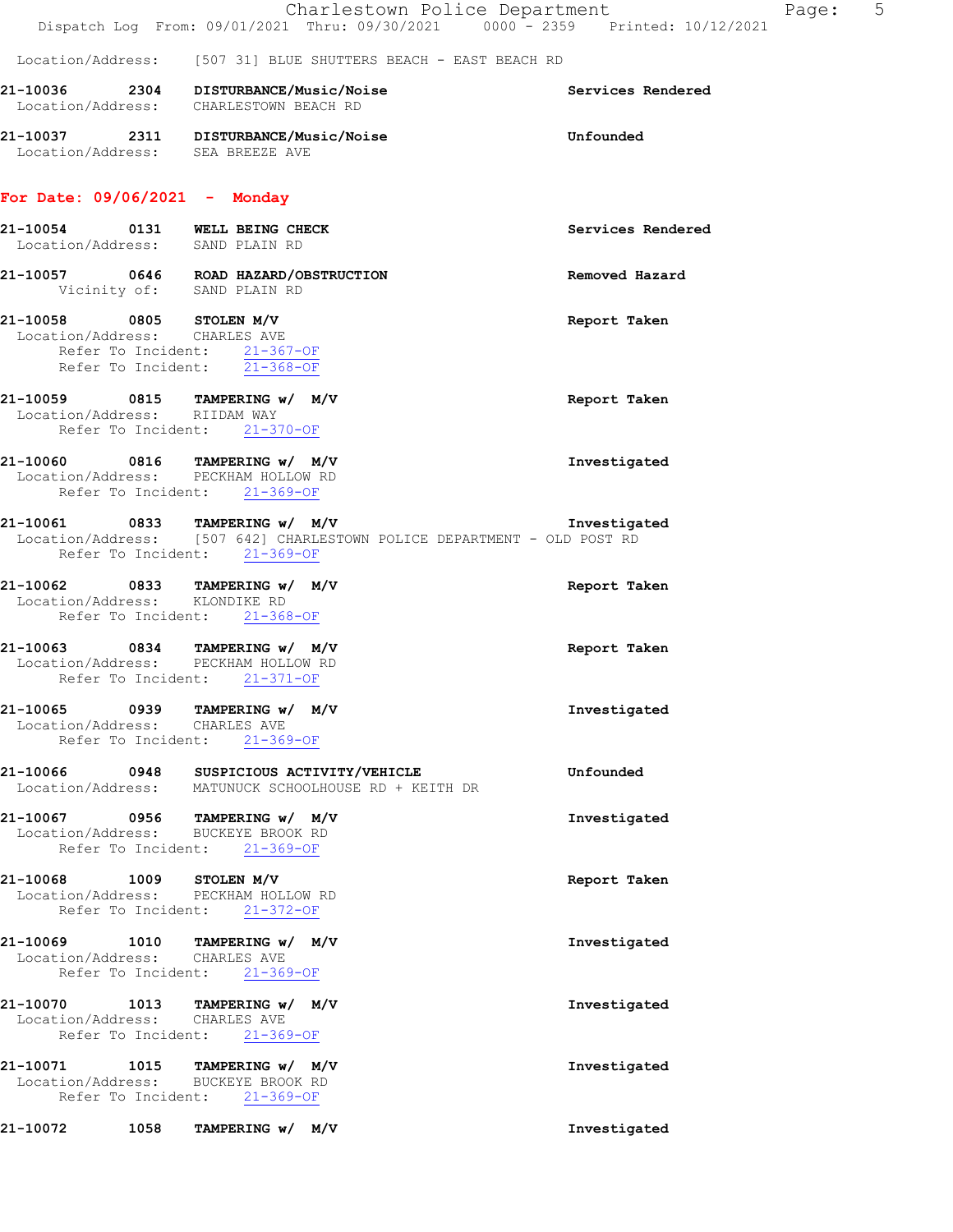|                                                                                                               | Charlestown Police Department<br>Dispatch Log From: 09/01/2021 Thru: 09/30/2021 0000 - 2359 Printed: 10/12/2021 | Page:             | 5 |
|---------------------------------------------------------------------------------------------------------------|-----------------------------------------------------------------------------------------------------------------|-------------------|---|
|                                                                                                               | Location/Address: [507 31] BLUE SHUTTERS BEACH - EAST BEACH RD                                                  |                   |   |
|                                                                                                               | 21-10036 2304 DISTURBANCE/Music/Noise<br>Location/Address: CHARLESTOWN BEACH RD                                 | Services Rendered |   |
|                                                                                                               | 21-10037 2311 DISTURBANCE/Music/Noise<br>Location/Address: SEA BREEZE AVE                                       | Unfounded         |   |
| For Date: $09/06/2021 -$ Monday                                                                               |                                                                                                                 |                   |   |
| 21-10054 0131 WELL BEING CHECK<br>Location/Address: SAND PLAIN RD                                             |                                                                                                                 | Services Rendered |   |
| Vicinity of: SAND PLAIN RD                                                                                    | 21-10057 0646 ROAD HAZARD/OBSTRUCTION                                                                           | Removed Hazard    |   |
| 21-10058 0805 STOLEN M/V<br>Location/Address: CHARLES AVE<br>Refer To Incident: $\frac{21-367-OF}{21-368-OF}$ |                                                                                                                 | Report Taken      |   |
| 21-10059 0815 TAMPERING w/ M/V<br>Location/Address: RIIDAM WAY<br>Refer To Incident: 21-370-OF                |                                                                                                                 | Report Taken      |   |
| 21-10060 0816 TAMPERING w/ M/V<br>Location/Address: PECKHAM HOLLOW RD<br>Refer To Incident: 21-369-OF         |                                                                                                                 | Investigated      |   |
| 21-10061 0833 TAMPERING w/ M/V<br>Refer To Incident: 21-369-OF                                                | Location/Address: [507 642] CHARLESTOWN POLICE DEPARTMENT - OLD POST RD                                         | Investigated      |   |
| 21-10062 0833 TAMPERING w/ M/V<br>Location/Address: KLONDIKE RD<br>Refer To Incident: 21-368-OF               |                                                                                                                 | Report Taken      |   |
|                                                                                                               |                                                                                                                 |                   |   |

**21-10063 0834 TAMPERING w/ M/V Report Taken**  Location/Address: PECKHAM HOLLOW RD Refer To Incident: 21-371-OF

### **21-10065 0939 TAMPERING w/ M/V Investigated**  Location/Address: CHARLES AVE Refer To Incident: 21-369-OF

| 21–10066          | 0948 | SUSPICIOUS ACTIVITY/VEHICLE        | Unfounded |
|-------------------|------|------------------------------------|-----------|
| Location/Address: |      | MATUNUCK SCHOOLHOUSE RD + KEITH DR |           |

- **21-10067 0956 TAMPERING w/ M/V Investigated**  Location/Address: BUCKEYE BROOK RD Refer To Incident: 21-369-OF
- **21-10068 1009 STOLEN M/V Report Taken**  Location/Address: PECKHAM HOLLOW RD Refer To Incident: 21-372-OF

# **21-10069 1010 TAMPERING w/ M/V Investigated**  Location/Address: CHARLES AVE<br>Refer To Incident: 21-369-OF Refer To Incident:

**21-10070 1013 TAMPERING w/ M/V Investigated**  Location/Address: CHARLES AVE Refer To Incident: 21-369-OF

**21-10071 1015 TAMPERING w/ M/V Investigated**  Location/Address: BUCKEYE BROOK RI<br>Refer To Incident: 21-369-OF Refer To Incident:

**21-10072 1058 TAMPERING w/ M/V Investigated**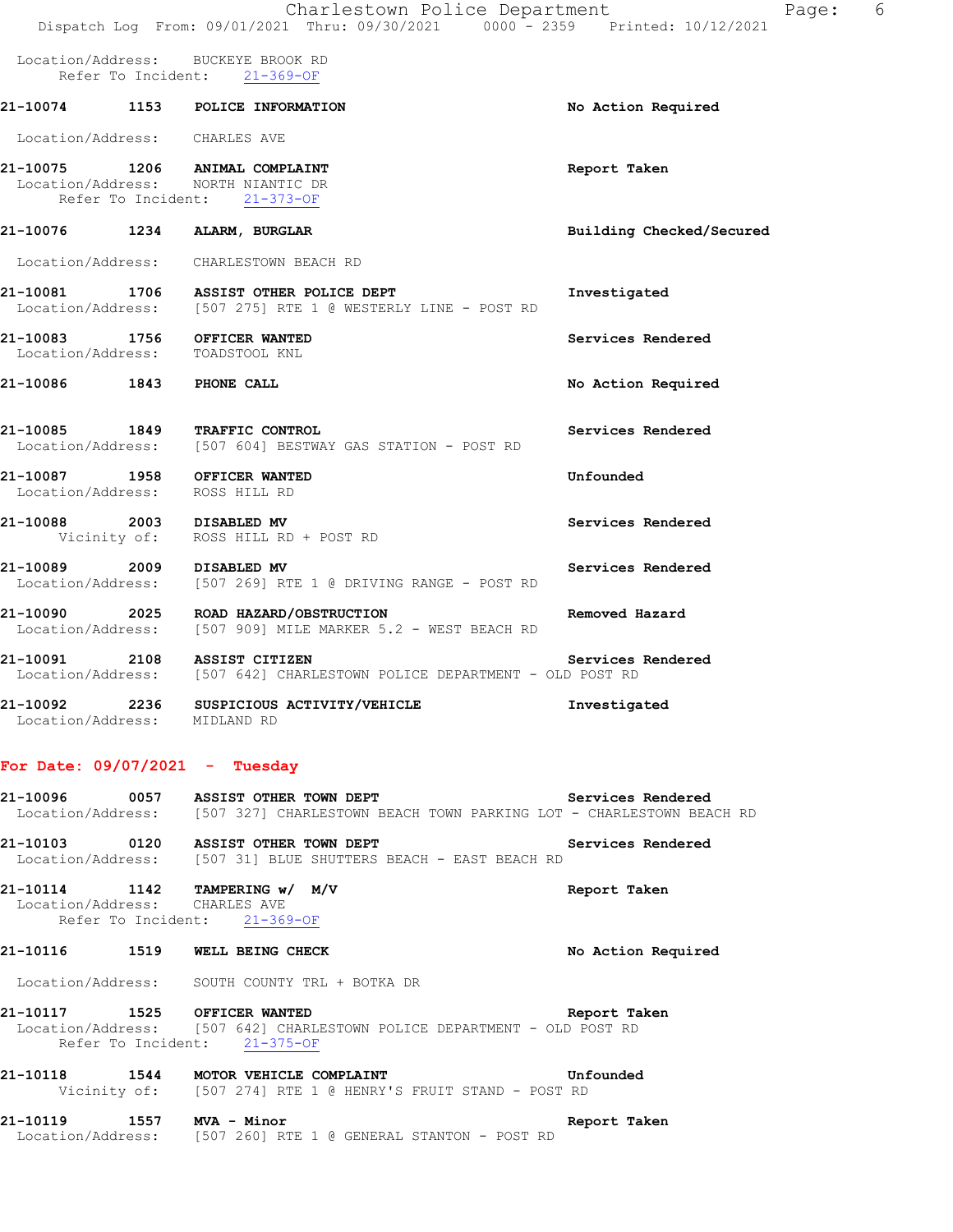|                                                                 | Charlestown Police Department                                                                                                                        | -6<br>Page:              |
|-----------------------------------------------------------------|------------------------------------------------------------------------------------------------------------------------------------------------------|--------------------------|
|                                                                 | Dispatch Log From: 09/01/2021 Thru: 09/30/2021 0000 - 2359 Printed: 10/12/2021<br>Location/Address: BUCKEYE BROOK RD<br>Refer To Incident: 21-369-OF |                          |
|                                                                 | 21-10074 1153 POLICE INFORMATION                                                                                                                     | No Action Required       |
| Location/Address: CHARLES AVE                                   |                                                                                                                                                      |                          |
|                                                                 | 21-10075 1206 ANIMAL COMPLAINT<br>Location/Address: NORTH NIANTIC DR<br>Refer To Incident: 21-373-OF                                                 | Report Taken             |
| 21-10076 1234 ALARM, BURGLAR                                    |                                                                                                                                                      | Building Checked/Secured |
|                                                                 | Location/Address: CHARLESTOWN BEACH RD                                                                                                               |                          |
|                                                                 | 21-10081 1706 ASSIST OTHER POLICE DEPT<br>Location/Address: [507 275] RTE 1 @ WESTERLY LINE - POST RD                                                | Investigated             |
| 21-10083 1756 OFFICER WANTED<br>Location/Address: TOADSTOOL KNL |                                                                                                                                                      | Services Rendered        |
| 21-10086 1843 PHONE CALL                                        |                                                                                                                                                      | No Action Required       |
|                                                                 | 21-10085 1849 TRAFFIC CONTROL<br>Location/Address: [507 604] BESTWAY GAS STATION - POST RD                                                           | Services Rendered        |
| 21-10087 1958 OFFICER WANTED<br>Location/Address: ROSS HILL RD  |                                                                                                                                                      | Unfounded                |
| 21-10088 2003 DISABLED MV                                       | Vicinity of: ROSS HILL RD + POST RD                                                                                                                  | Services Rendered        |
| 21-10089 2009 DISABLED MV                                       | Location/Address: [507 269] RTE 1 @ DRIVING RANGE - POST RD                                                                                          | Services Rendered        |
|                                                                 | 21-10090 2025 ROAD HAZARD/OBSTRUCTION<br>Location/Address: [507 909] MILE MARKER 5.2 - WEST BEACH RD                                                 | Removed Hazard           |
| 21-10091 2108 ASSIST CITIZEN                                    | Location/Address: [507 642] CHARLESTOWN POLICE DEPARTMENT - OLD POST RD                                                                              | Services Rendered        |

## **21-10092 2236 SUSPICIOUS ACTIVITY/VEHICLE Investigated**  Location/Address: MIDLAND RD

#### **For Date: 09/07/2021 - Tuesday**

21-10096 **0057** ASSIST OTHER TOWN DEPT **Services Rendered** Location/Address: [507 327] CHARLESTOWN BEACH TOWN PARKING LOT - CHARLESTOWN BEACH RD

**21-10103 0120 ASSIST OTHER TOWN DEPT Services Rendered**  Location/Address: [507 31] BLUE SHUTTERS BEACH - EAST BEACH RD

**21-10114 1142 TAMPERING w/ M/V Report Taken**  Location/Address: CHARLES AVE Refer To Incident: 21-369-OF

#### **21-10116 1519 WELL BEING CHECK No Action Required**

Location/Address: SOUTH COUNTY TRL + BOTKA DR

**21-10117 1525 OFFICER WANTED Report Taken**  Location/Address: [507 642] CHARLESTOWN POLICE DEPARTMENT - OLD POST RD Refer To Incident: 21-375-OF

**21-10118 1544 MOTOR VEHICLE COMPLAINT Unfounded**  Vicinity of: [507 274] RTE 1 @ HENRY'S FRUIT STAND - POST RD

**21-10119 1557 MVA - Minor Report Taken**  Location/Address: [507 260] RTE 1 @ GENERAL STANTON - POST RD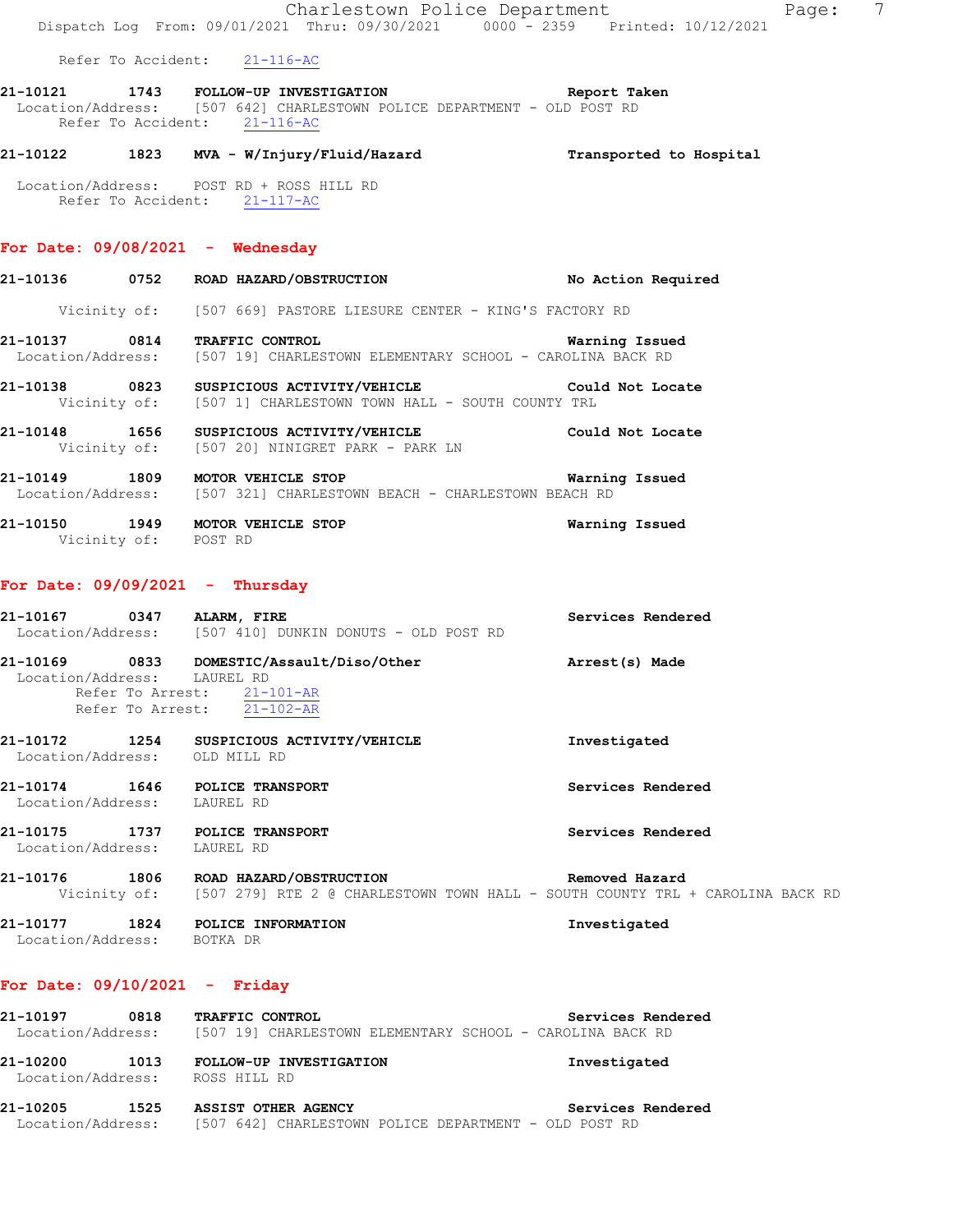|                             | Dispatch Log From: 09/01/2021 Thru: 09/30/2021 0000 - 2359 Printed: 10/12/2021                                                                                | 7<br>Charlestown Police Department<br>Page:                                                                  |
|-----------------------------|---------------------------------------------------------------------------------------------------------------------------------------------------------------|--------------------------------------------------------------------------------------------------------------|
|                             | Refer To Accident: 21-116-AC                                                                                                                                  |                                                                                                              |
|                             | 21-10121 1743 FOLLOW-UP INVESTIGATION Neport Taken<br>Location/Address: [507 642] CHARLESTOWN POLICE DEPARTMENT - OLD POST RD<br>Refer To Accident: 21-116-AC |                                                                                                              |
|                             | 21-10122 1823 MVA - W/Injury/Fluid/Hazard Transported to Hospital                                                                                             |                                                                                                              |
|                             | Location/Address: POST RD + ROSS HILL RD<br>Refer To Accident: 21-117-AC                                                                                      |                                                                                                              |
|                             | For Date: $09/08/2021$ - Wednesday                                                                                                                            |                                                                                                              |
|                             | 21-10136 0752 ROAD HAZARD/OBSTRUCTION                                                                                                                         | No Action Required                                                                                           |
|                             | Vicinity of: [507 669] PASTORE LIESURE CENTER - KING'S FACTORY RD                                                                                             |                                                                                                              |
|                             | 21-10137 0814 TRAFFIC CONTROL<br>Location/Address: [507 19] CHARLESTOWN ELEMENTARY SCHOOL - CAROLINA BACK RD                                                  | Warning Issued                                                                                               |
|                             | 21-10138 0823 SUSPICIOUS ACTIVITY/VEHICLE Could Not Locate Vicinity of: [507 1] CHARLESTOWN TOWN HALL - SOUTH COUNTY TRL                                      |                                                                                                              |
|                             | 21-10148 1656 SUSPICIOUS ACTIVITY/VEHICLE<br>Vicinity of: [507 20] NINIGRET PARK - PARK LN                                                                    | Could Not Locate                                                                                             |
|                             | 21-10149 1809 MOTOR VEHICLE STOP<br>Location/Address: [507 321] CHARLESTOWN BEACH - CHARLESTOWN BEACH RD                                                      | Warning Issued                                                                                               |
| Vicinity of: POST RD        | 21-10150 1949 MOTOR VEHICLE STOP                                                                                                                              | Warning Issued                                                                                               |
|                             | For Date: $09/09/2021$ - Thursday                                                                                                                             |                                                                                                              |
|                             | 21-10167 0347 ALARM, FIRE<br>Location/Address: [507 410] DUNKIN DONUTS - OLD POST RD                                                                          | Services Rendered                                                                                            |
| Location/Address: LAUREL RD | 21-10169 0833 DOMESTIC/Assault/Diso/Other Marrest(s) Made<br>Refer To Arrest: 21-101-AR<br>Refer To Arrest: 21-102-AR                                         |                                                                                                              |
|                             | 21-10172 1254 SUSPICIOUS ACTIVITY/VEHICLE<br>Location/Address: OLD MILL RD                                                                                    | Investigated                                                                                                 |
|                             | 21-10174 1646 POLICE TRANSPORT<br>Location/Address: LAUREL RD                                                                                                 | Services Rendered                                                                                            |
| Location/Address: LAUREL RD | 21-10175 1737 POLICE TRANSPORT                                                                                                                                | Services Rendered                                                                                            |
|                             | 21-10176 1806 ROAD HAZARD/OBSTRUCTION                                                                                                                         | Removed Hazard<br>Vicinity of: [507 279] RTE 2 @ CHARLESTOWN TOWN HALL - SOUTH COUNTY TRL + CAROLINA BACK RD |
| Location/Address: BOTKA DR  | 21-10177 1824 POLICE INFORMATION                                                                                                                              | Investigated                                                                                                 |
|                             | For Date: $09/10/2021$ - Friday                                                                                                                               |                                                                                                              |
|                             | 21-10197 0818 TRAFFIC CONTROL<br>Location/Address: [507 19] CHARLESTOWN ELEMENTARY SCHOOL - CAROLINA BACK RD                                                  | Services Rendered                                                                                            |

**21-10200 1013 FOLLOW-UP INVESTIGATION Investigated**  Location/Address: ROSS HILL RD

**21-10205 1525 ASSIST OTHER AGENCY Services Rendered**  Location/Address: [507 642] CHARLESTOWN POLICE DEPARTMENT - OLD POST RD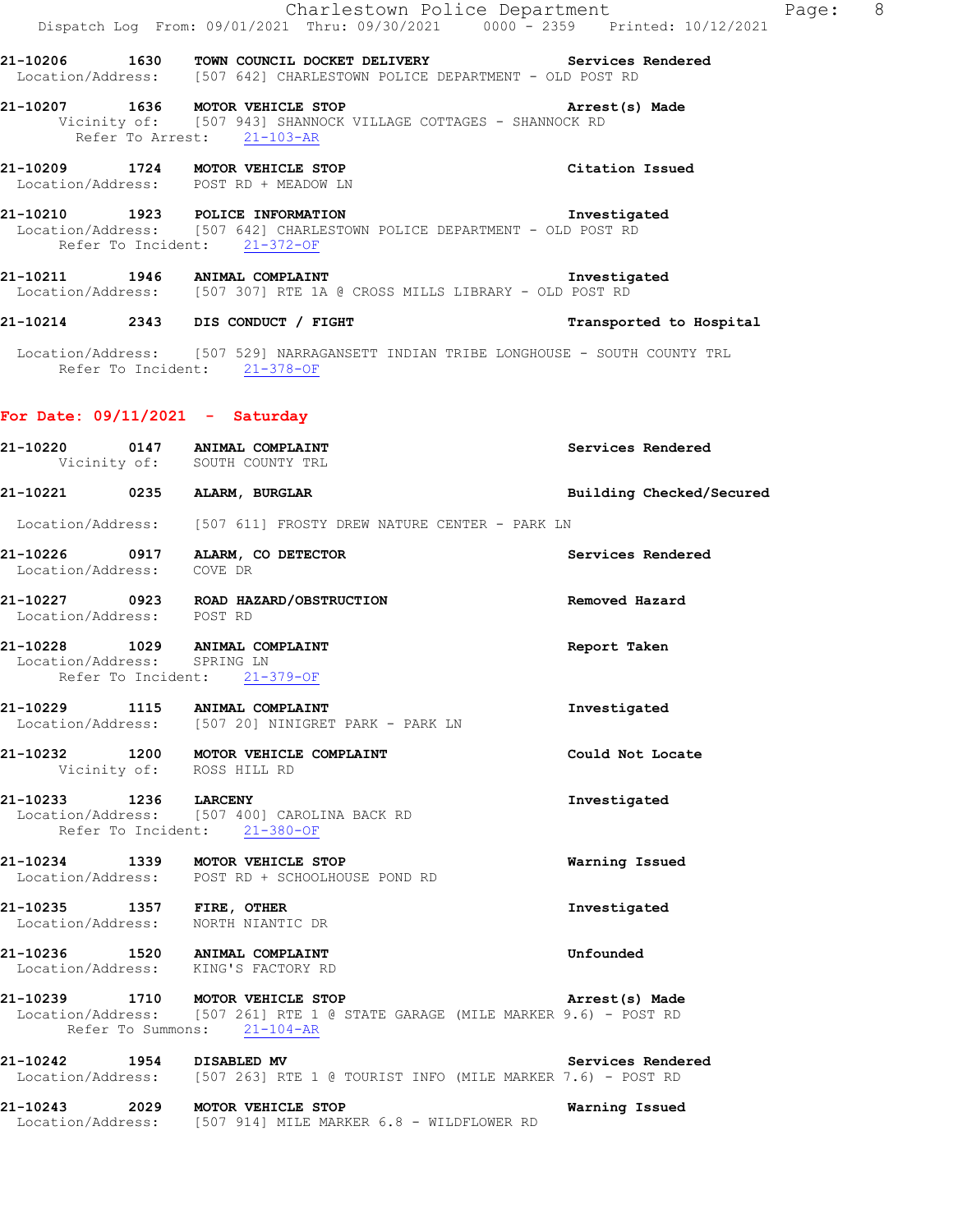|                                   | Charlestown Police Department<br>Dispatch Log From: 09/01/2021 Thru: 09/30/2021 0000 - 2359 Printed: 10/12/2021                                 | Page: 8                  |  |
|-----------------------------------|-------------------------------------------------------------------------------------------------------------------------------------------------|--------------------------|--|
|                                   | 21-10206 1630 TOWN COUNCIL DOCKET DELIVERY Services Rendered<br>Location/Address: [507 642] CHARLESTOWN POLICE DEPARTMENT - OLD POST RD         |                          |  |
|                                   | 21-10207 1636 MOTOR VEHICLE STOP<br>Vicinity of: [507 943] SHANNOCK VILLAGE COTTAGES - SHANNOCK RD<br>Refer To Arrest: 21-103-AR                | Arrest(s) Made           |  |
|                                   | 21-10209 1724 MOTOR VEHICLE STOP<br>Location/Address: POST RD + MEADOW LN                                                                       | Citation Issued          |  |
|                                   | 21-10210 1923 POLICE INFORMATION<br>Location/Address: [507 642] CHARLESTOWN POLICE DEPARTMENT - OLD POST RD<br>Refer To Incident: 21-372-OF     | Investigated             |  |
|                                   | 21-10211 1946 ANIMAL COMPLAINT<br>Location/Address: [507 307] RTE 1A @ CROSS MILLS LIBRARY - OLD POST RD                                        | Investigated             |  |
|                                   | 21-10214 2343 DIS CONDUCT / FIGHT                                                                                                               | Transported to Hospital  |  |
|                                   | Location/Address: [507 529] NARRAGANSETT INDIAN TRIBE LONGHOUSE - SOUTH COUNTY TRL<br>Refer To Incident: 21-378-OF                              |                          |  |
| For Date: $09/11/2021$ - Saturday |                                                                                                                                                 |                          |  |
|                                   | 21-10220 0147 ANIMAL COMPLAINT<br>Vicinity of: SOUTH COUNTY TRL                                                                                 | Services Rendered        |  |
|                                   | 21-10221 0235 ALARM, BURGLAR                                                                                                                    | Building Checked/Secured |  |
|                                   | Location/Address: [507 611] FROSTY DREW NATURE CENTER - PARK LN                                                                                 |                          |  |
| Location/Address: COVE DR         | 21-10226 0917 ALARM, CO DETECTOR                                                                                                                | Services Rendered        |  |
|                                   | 21-10227 0923 ROAD HAZARD/OBSTRUCTION<br>Location/Address: POST RD                                                                              | Removed Hazard           |  |
| Location/Address: SPRING LN       | 21-10228 1029 ANIMAL COMPLAINT<br>Refer To Incident: 21-379-OF                                                                                  | Report Taken             |  |
|                                   | 21-10229 1115 ANIMAL COMPLAINT<br>Location/Address: [507 20] NINIGRET PARK - PARK LN                                                            | Investigated             |  |
|                                   | 21-10232 1200 MOTOR VEHICLE COMPLAINT<br>Vicinity of: ROSS HILL RD                                                                              | Could Not Locate         |  |
| 21-10233 1236 LARCENY             | Location/Address: [507 400] CAROLINA BACK RD<br>Refer To Incident: 21-380-OF                                                                    | Investigated             |  |
|                                   | 21-10234 1339 MOTOR VEHICLE STOP<br>Location/Address: POST RD + SCHOOLHOUSE POND RD                                                             | Warning Issued           |  |
|                                   | 21-10235 1357 FIRE, OTHER<br>Location/Address: NORTH NIANTIC DR                                                                                 | Investigated             |  |
|                                   | 21-10236 1520 ANIMAL COMPLAINT<br>Location/Address: KING'S FACTORY RD                                                                           | Unfounded                |  |
|                                   | 21-10239 1710 MOTOR VEHICLE STOP<br>Location/Address: [507 261] RTE 1 @ STATE GARAGE (MILE MARKER 9.6) - POST RD<br>Refer To Summons: 21-104-AR | Arrest(s) Made           |  |
| 21-10242 1954 DISABLED MV         | Location/Address: [507 263] RTE 1 @ TOURIST INFO (MILE MARKER 7.6) - POST RD                                                                    | Services Rendered        |  |
|                                   | 21-10243 2029 MOTOR VEHICLE STOP<br>Location/Address: [507 914] MILE MARKER 6.8 - WILDFLOWER RD                                                 | Warning Issued           |  |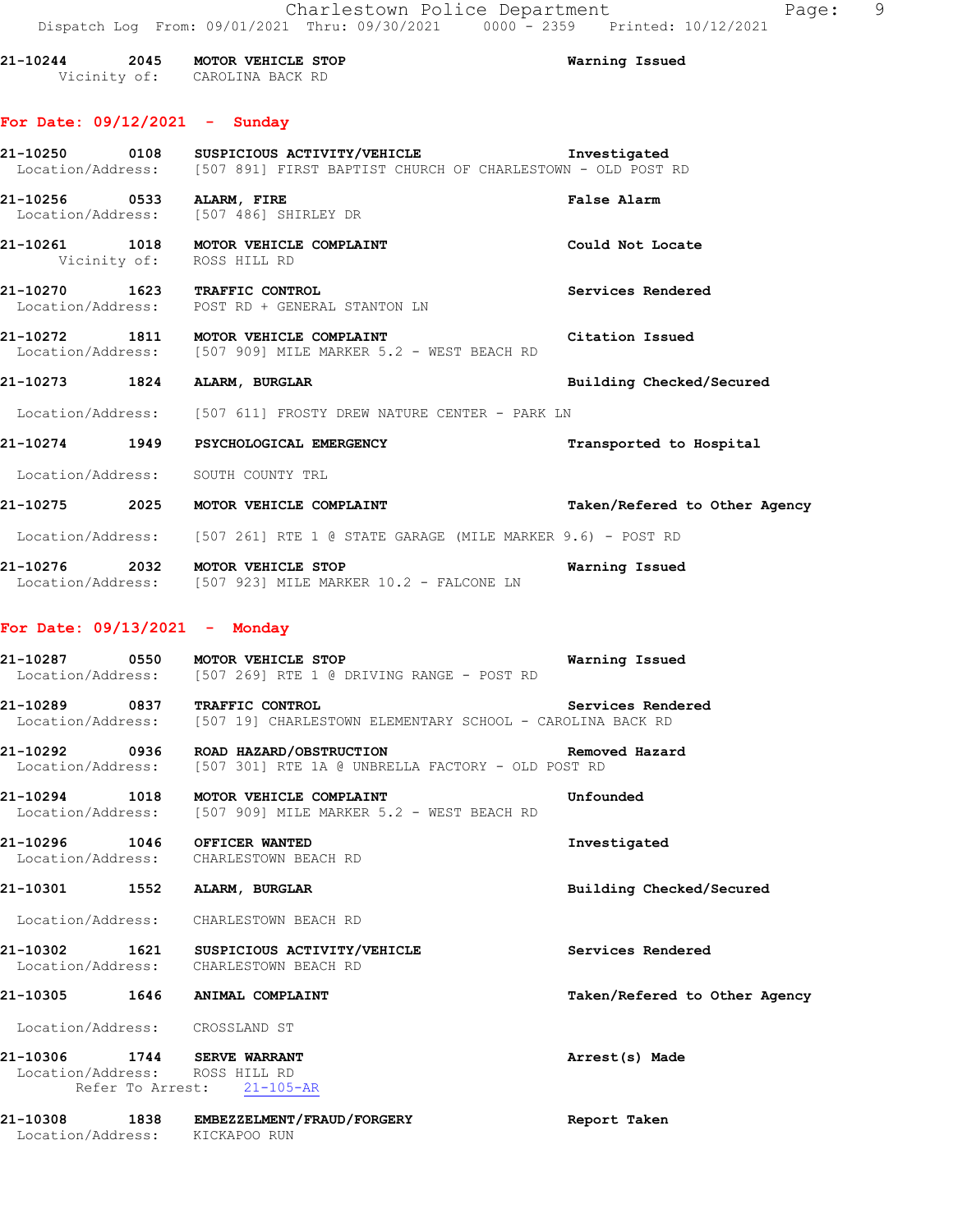**21-10244 2045 MOTOR VEHICLE STOP Warning Issued**  Vicinity of: CAROLINA BACK RD

## **For Date: 09/12/2021 - Sunday**

|                                 | 21-10250 0108 SUSPICIOUS ACTIVITY/VEHICLE <b>1nvestigated</b><br>Location/Address: [507 891] FIRST BAPTIST CHURCH OF CHARLESTOWN - OLD POST RD |                               |
|---------------------------------|------------------------------------------------------------------------------------------------------------------------------------------------|-------------------------------|
| 21-10256 0533 ALARM, FIRE       | Location/Address: [507 486] SHIRLEY DR                                                                                                         | False Alarm                   |
| Vicinity of: ROSS HILL RD       | 21-10261 1018 MOTOR VEHICLE COMPLAINT                                                                                                          | Could Not Locate              |
|                                 | 21-10270 1623 TRAFFIC CONTROL<br>Location/Address: POST RD + GENERAL STANTON LN                                                                | Services Rendered             |
|                                 | 21-10272 1811 MOTOR VEHICLE COMPLAINT THE STRAIGHT Citation Issued<br>Location/Address: [507 909] MILE MARKER 5.2 - WEST BEACH RD              |                               |
|                                 | 21-10273 1824 ALARM, BURGLAR                                                                                                                   | Building Checked/Secured      |
|                                 | Location/Address: [507 611] FROSTY DREW NATURE CENTER - PARK LN                                                                                |                               |
|                                 | 21-10274 1949 PSYCHOLOGICAL EMERGENCY                                                                                                          | Transported to Hospital       |
|                                 | Location/Address: SOUTH COUNTY TRL                                                                                                             |                               |
|                                 | 21-10275 2025 MOTOR VEHICLE COMPLAINT                                                                                                          | Taken/Refered to Other Agency |
|                                 | Location/Address: [507 261] RTE 1 @ STATE GARAGE (MILE MARKER 9.6) - POST RD                                                                   |                               |
|                                 | 21-10276 2032 MOTOR VEHICLE STOP<br>Location/Address: [507 923] MILE MARKER 10.2 - FALCONE LN                                                  | Warning Issued                |
| For Date: $09/13/2021$ - Monday |                                                                                                                                                |                               |
|                                 | 21-10287 0550 MOTOR VEHICLE STOP<br>Location/Address: [507 269] RTE 1 @ DRIVING RANGE - POST RD                                                | Warning Issued                |
| 21-10289 0837 TRAFFIC CONTROL   | Location/Address: [507 19] CHARLESTOWN ELEMENTARY SCHOOL - CAROLINA BACK RD                                                                    | Services Rendered             |
| 21-10292 0936                   | ROAD HAZARD/OBSTRUCTION                                                                                                                        | Removed Hazard                |

Location/Address: [507 301] RTE 1A @ UNBRELLA FACTORY - OLD POST RD

**21-10294 1018 MOTOR VEHICLE COMPLAINT Unfounded**  Location/Address: [507 909] MILE MARKER 5.2 - WEST BEACH RD

**21-10296 1046 OFFICER WANTED Investigated**  Location/Address: CHARLESTOWN BEACH RD

**21-10301 1552 ALARM, BURGLAR Building Checked/Secured** 

Location/Address: CHARLESTOWN BEACH RD

**21-10302 1621 SUSPICIOUS ACTIVITY/VEHICLE Services Rendered**  Location/Address: CHARLESTOWN BEACH RD

**21-10305 1646 ANIMAL COMPLAINT Taken/Refered to Other Agency**

Location/Address: CROSSLAND ST

**21-10306 1744 SERVE WARRANT Arrest(s) Made**  Location/Address: ROSS HILL RD Refer To Arrest: 21-105-AR

**21-10308 1838 EMBEZZELMENT/FRAUD/FORGERY Report Taken**  Location/Address: KICKAPOO RUN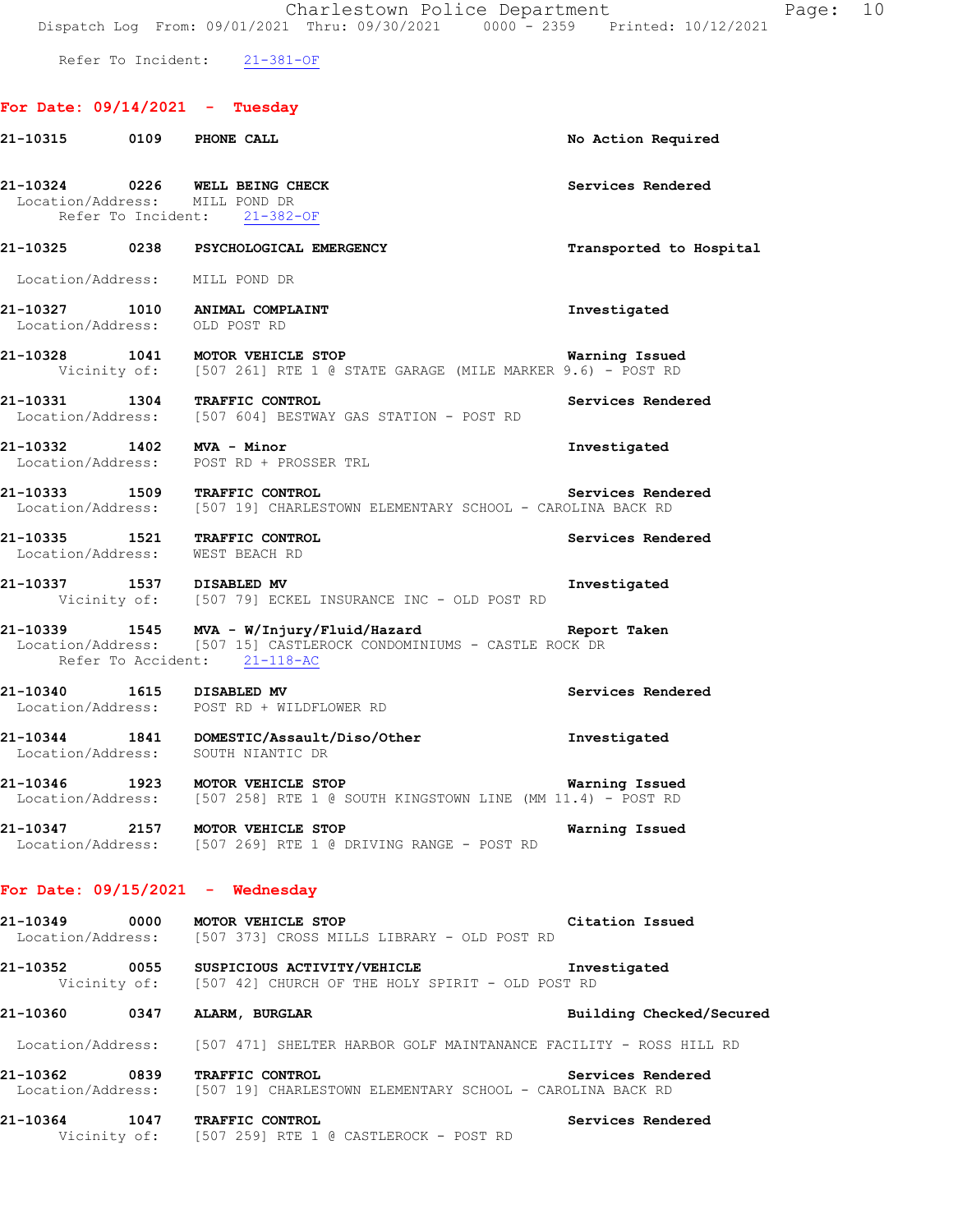Refer To Incident: 21-381-OF

# **For Date: 09/14/2021 - Tuesday**

| 21-10315 0109 PHONE CALL        |  | No Action Required                                                                                                                                            |                          |  |  |
|---------------------------------|--|---------------------------------------------------------------------------------------------------------------------------------------------------------------|--------------------------|--|--|
| Location/Address: MILL POND DR  |  | 21-10324 0226 WELL BEING CHECK<br>Refer To Incident: 21-382-OF                                                                                                | Services Rendered        |  |  |
|                                 |  | 21-10325 0238 PSYCHOLOGICAL EMERGENCY                                                                                                                         | Transported to Hospital  |  |  |
| Location/Address: MILL POND DR  |  |                                                                                                                                                               |                          |  |  |
|                                 |  | 21-10327 1010 ANIMAL COMPLAINT<br>Location/Address: OLD POST RD                                                                                               | Investigated             |  |  |
|                                 |  | 21-10328 1041 MOTOR VEHICLE STOP<br>Vicinity of: [507 261] RTE 1 @ STATE GARAGE (MILE MARKER 9.6) - POST RD                                                   | Warning Issued           |  |  |
|                                 |  | 21-10331 1304 TRAFFIC CONTROL<br>Location/Address: [507 604] BESTWAY GAS STATION - POST RD                                                                    | Services Rendered        |  |  |
|                                 |  | 21-10332 1402 MVA - Minor<br>Location/Address: POST RD + PROSSER TRL                                                                                          | Investigated             |  |  |
|                                 |  | 21-10333 1509 TRAFFIC CONTROL<br>Location/Address: [507 19] CHARLESTOWN ELEMENTARY SCHOOL - CAROLINA BACK RD                                                  | Services Rendered        |  |  |
| Location/Address: WEST BEACH RD |  | 21-10335 1521 TRAFFIC CONTROL                                                                                                                                 | Services Rendered        |  |  |
| 21-10337 1537 DISABLED MV       |  | Vicinity of: [507 79] ECKEL INSURANCE INC - OLD POST RD                                                                                                       | Investigated             |  |  |
|                                 |  | 21-10339 1545 MVA - W/Injury/Fluid/Hazard Report Taken<br>Location/Address: [507 15] CASTLEROCK CONDOMINIUMS - CASTLE ROCK DR<br>Refer To Accident: 21-118-AC |                          |  |  |
|                                 |  | 21-10340   1615   DISABLED MV<br>Location/Address:   POST RD + WILDFLOWER RD                                                                                  | Services Rendered        |  |  |
|                                 |  | 21-10344 1841 DOMESTIC/Assault/Diso/Other<br>Location/Address: SOUTH NIANTIC DR                                                                               | Investigated             |  |  |
|                                 |  | 21-10346 1923 MOTOR VEHICLE STOP<br>Location/Address: [507 258] RTE 1 @ SOUTH KINGSTOWN LINE (MM 11.4) - POST RD                                              | Warning Issued           |  |  |
|                                 |  | 21-10347 2157 MOTOR VEHICLE STOP<br>Location/Address: [507 269] RTE 1 @ DRIVING RANGE - POST RD                                                               | Warning Issued           |  |  |
|                                 |  | For Date: $09/15/2021$ - Wednesday                                                                                                                            |                          |  |  |
|                                 |  | 21-10349 0000 MOTOR VEHICLE STOP<br>Location/Address: [507 373] CROSS MILLS LIBRARY - OLD POST RD                                                             | Citation Issued          |  |  |
|                                 |  | 21-10352 0055 SUSPICIOUS ACTIVITY/VEHICLE<br>Vicinity of: [507 42] CHURCH OF THE HOLY SPIRIT - OLD POST RD                                                    | Investigated             |  |  |
|                                 |  | 21-10360 0347 ALARM, BURGLAR                                                                                                                                  | Building Checked/Secured |  |  |
|                                 |  | Location/Address: [507 471] SHELTER HARBOR GOLF MAINTANANCE FACILITY - ROSS HILL RD                                                                           |                          |  |  |
| 21-10362 0839                   |  | <b>TRAFFIC CONTROL</b><br>Location/Address: [507 19] CHARLESTOWN ELEMENTARY SCHOOL - CAROLINA BACK RD                                                         | Services Rendered        |  |  |
|                                 |  | 21-10364 1047 TRAFFIC CONTROL<br>Vicinity of: [507 259] RTE 1 @ CASTLEROCK - POST RD                                                                          | Services Rendered        |  |  |
|                                 |  |                                                                                                                                                               |                          |  |  |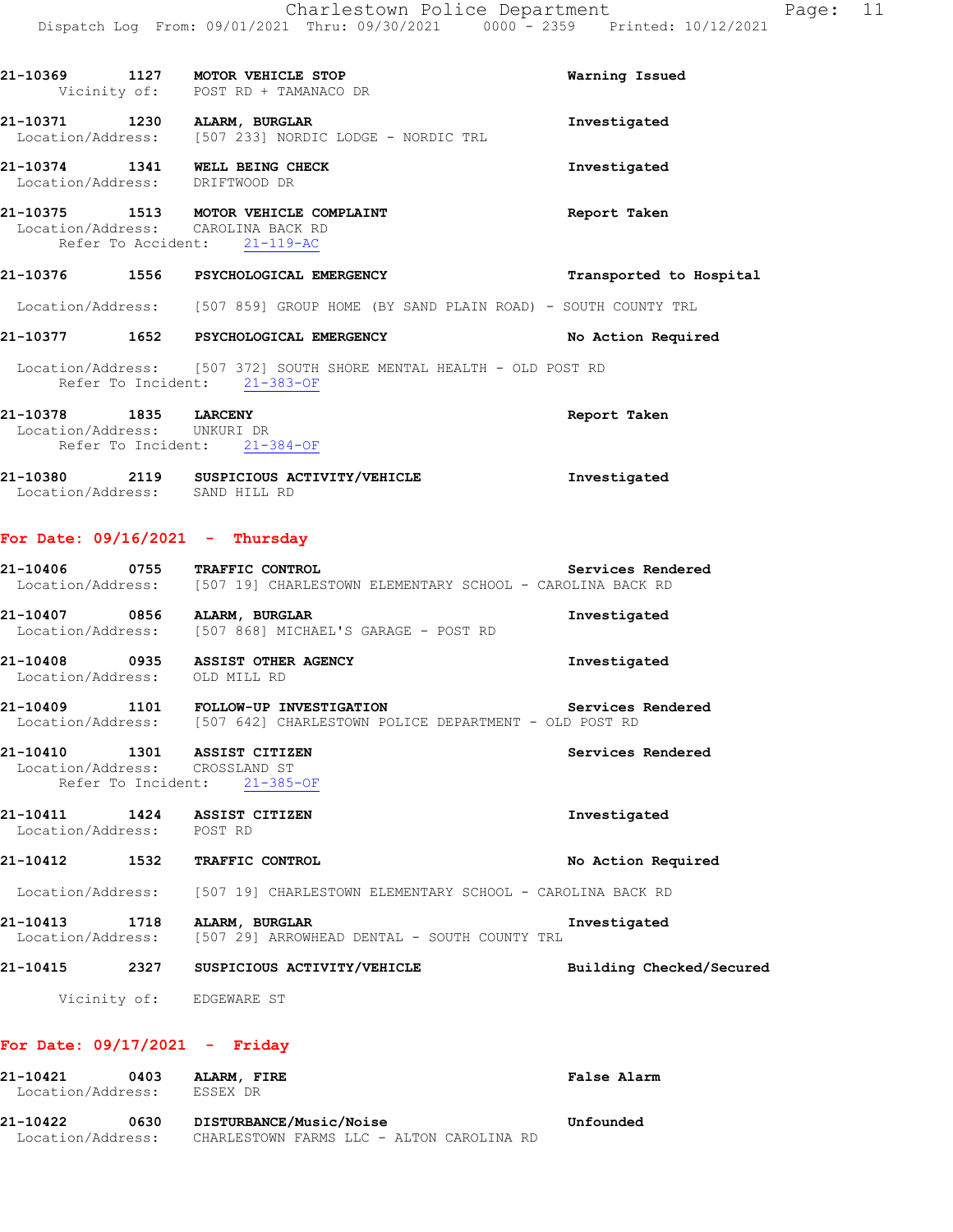|                                                      |                    | 21-10369 1127 MOTOR VEHICLE STOP<br>Vicinity of: POST RD + TAMANACO DR                                           | Warning Issued           |
|------------------------------------------------------|--------------------|------------------------------------------------------------------------------------------------------------------|--------------------------|
|                                                      |                    | 21-10371 1230 ALARM, BURGLAR<br>Location/Address: [507 233] NORDIC LODGE - NORDIC TRL                            | Investigated             |
|                                                      |                    | 21-10374 1341 WELL BEING CHECK<br>Location/Address: DRIFTWOOD DR                                                 | Investigated             |
|                                                      |                    | 21-10375 1513 MOTOR VEHICLE COMPLAINT<br>Location/Address: CAROLINA BACK RD<br>Refer To Accident: 21-119-AC      | Report Taken             |
|                                                      |                    | 21-10376 1556 PSYCHOLOGICAL EMERGENCY                                                                            | Transported to Hospital  |
|                                                      |                    | Location/Address: [507 859] GROUP HOME (BY SAND PLAIN ROAD) - SOUTH COUNTY TRL                                   |                          |
|                                                      |                    | 21-10377 1652 PSYCHOLOGICAL EMERGENCY                                                                            | No Action Required       |
|                                                      |                    | Location/Address: [507 372] SOUTH SHORE MENTAL HEALTH - OLD POST RD<br>Refer To Incident: 21-383-OF              |                          |
| 21-10378 1835 LARCENY<br>Location/Address: UNKURI DR |                    | Refer To Incident: 21-384-OF                                                                                     | Report Taken             |
| Location/Address: SAND HILL RD                       |                    | 21-10380 2119 SUSPICIOUS ACTIVITY/VEHICLE                                                                        | Investigated             |
| For Date: $09/16/2021$ - Thursday                    |                    |                                                                                                                  |                          |
|                                                      |                    | 21-10406 0755 TRAFFIC CONTROL<br>Location/Address: [507 19] CHARLESTOWN ELEMENTARY SCHOOL - CAROLINA BACK RD     | Services Rendered        |
|                                                      |                    | 21-10407 0856 ALARM, BURGLAR<br>Location/Address: [507 868] MICHAEL'S GARAGE - POST RD                           | Investigated             |
|                                                      |                    | 21-10408 0935 ASSIST OTHER AGENCY<br>Location/Address: OLD MILL RD                                               | Investigated             |
|                                                      |                    | 21-10409 1101 FOLLOW-UP INVESTIGATION<br>Location/Address: [507 642] CHARLESTOWN POLICE DEPARTMENT - OLD POST RD | Services Rendered        |
| Location/Address:                                    | Refer To Incident: | 21-10410 1301 ASSIST CITIZEN<br>CROSSLAND ST<br>$21 - 385 - OF$                                                  | Services Rendered        |
| 21-10411<br>Location/Address: POST RD                | 1424               | <b>ASSIST CITIZEN</b>                                                                                            | Investigated             |
| 21-10412                                             | 1532               | TRAFFIC CONTROL                                                                                                  | No Action Required       |
|                                                      |                    | Location/Address: [507 19] CHARLESTOWN ELEMENTARY SCHOOL - CAROLINA BACK RD                                      |                          |
| 21-10413<br>Location/Address:                        | 1718               | ALARM, BURGLAR<br>[507 29] ARROWHEAD DENTAL - SOUTH COUNTY TRL                                                   | Investigated             |
| 21-10415                                             |                    | 2327 SUSPICIOUS ACTIVITY/VEHICLE                                                                                 | Building Checked/Secured |
|                                                      |                    | Vicinity of: EDGEWARE ST                                                                                         |                          |
| For Date: $09/17/2021$ - Friday                      |                    |                                                                                                                  |                          |
| 21-10421<br>Location/Address:                        | 0403               | ALARM, FIRE<br>ESSEX DR                                                                                          | False Alarm              |

| 21-10422          | 0630 | DISTURBANCE/Music/Noise                   |  |  | Unfounded |
|-------------------|------|-------------------------------------------|--|--|-----------|
| Location/Address: |      | CHARLESTOWN FARMS LLC - ALTON CAROLINA RD |  |  |           |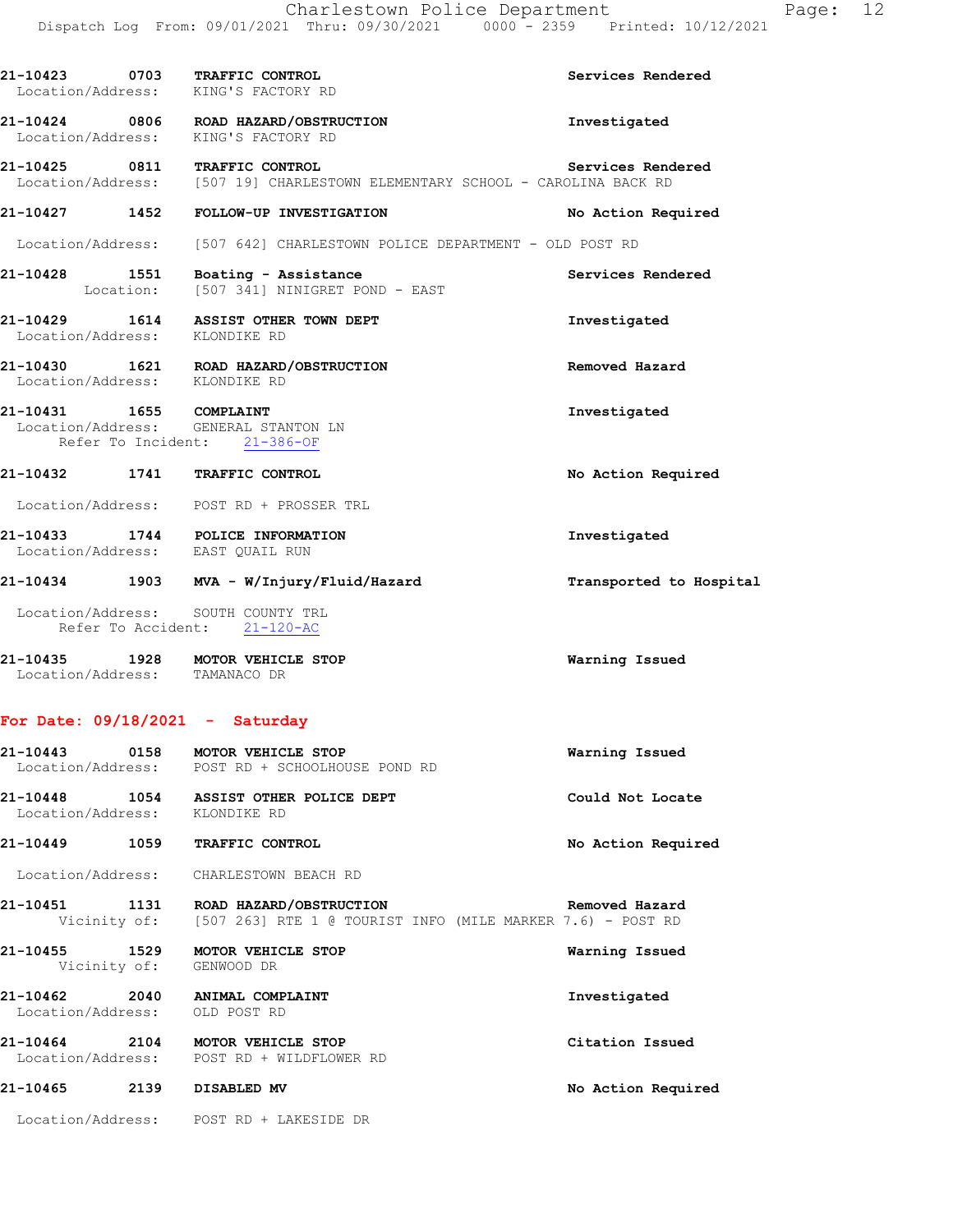| 21-10423 0703 TRAFFIC CONTROL<br>Location/Address: KING'S FACTORY RD |                                                                                                                            | Services Rendered       |
|----------------------------------------------------------------------|----------------------------------------------------------------------------------------------------------------------------|-------------------------|
| Location/Address: KING'S FACTORY RD                                  | 21-10424 0806 ROAD HAZARD/OBSTRUCTION                                                                                      | Investigated            |
|                                                                      | 21-10425 0811 TRAFFIC CONTROL Services Rend<br>Location/Address: [507 19] CHARLESTOWN ELEMENTARY SCHOOL - CAROLINA BACK RD | Services Rendered       |
|                                                                      | 21-10427 1452 FOLLOW-UP INVESTIGATION                                                                                      | No Action Required      |
|                                                                      | Location/Address: [507 642] CHARLESTOWN POLICE DEPARTMENT - OLD POST RD                                                    |                         |
|                                                                      | 21-10428 1551 Boating - Assistance<br>Location: [507 341] NINIGRET POND - EAST                                             | Services Rendered       |
|                                                                      | 21-10429 1614 ASSIST OTHER TOWN DEPT<br>Location/Address: KLONDIKE RD                                                      | Investigated            |
| Location/Address: KLONDIKE RD                                        | 21-10430 1621 ROAD HAZARD/OBSTRUCTION                                                                                      | Removed Hazard          |
| 21-10431 1655 COMPLAINT<br>Location/Address: GENERAL STANTON LN      | Refer To Incident: 21-386-OF                                                                                               | Investigated            |
| 21-10432 1741 TRAFFIC CONTROL                                        |                                                                                                                            | No Action Required      |
|                                                                      | Location/Address: POST RD + PROSSER TRL                                                                                    |                         |
| 21-10433 1744 POLICE INFORMATION<br>Location/Address: EAST QUAIL RUN |                                                                                                                            | Investigated            |
|                                                                      | 21-10434 1903 MVA - W/Injury/Fluid/Hazard                                                                                  | Transported to Hospital |
| Location/Address: SOUTH COUNTY TRL<br>Refer To Accident: 21-120-AC   |                                                                                                                            |                         |
| 21-10435 1928 MOTOR VEHICLE STOP<br>Location/Address: TAMANACO DR    |                                                                                                                            | Warning Issued          |

# **For Date: 09/18/2021 - Saturday**

| 21-10443 0158                      |      | MOTOR VEHICLE STOP<br>Location/Address: POST RD + SCHOOLHOUSE POND RD                                            | Warning Issued     |
|------------------------------------|------|------------------------------------------------------------------------------------------------------------------|--------------------|
| 21-10448 1054<br>Location/Address: |      | ASSIST OTHER POLICE DEPT<br>KLONDIKE RD                                                                          | Could Not Locate   |
| 21-10449                           | 1059 | <b>TRAFFIC CONTROL</b>                                                                                           | No Action Required |
| Location/Address:                  |      | CHARLESTOWN BEACH RD                                                                                             |                    |
|                                    |      | 21-10451 1131 ROAD HAZARD/OBSTRUCTION<br>Vicinity of: [507 263] RTE 1 @ TOURIST INFO (MILE MARKER 7.6) - POST RD | Removed Hazard     |
| 21-10455<br>Vicinity of:           | 1529 | <b>MOTOR VEHICLE STOP</b><br>GENWOOD DR                                                                          | Warning Issued     |
| 21-10462<br>Location/Address:      | 2040 | ANIMAL COMPLAINT<br>OLD POST RD                                                                                  | Investigated       |
| 21-10464 2104<br>Location/Address: |      | MOTOR VEHICLE STOP<br>POST RD + WILDFLOWER RD                                                                    | Citation Issued    |
| 21-10465                           | 2139 | DISABLED MV                                                                                                      | No Action Required |
|                                    |      | Location/Address: POST RD + LAKESIDE DR                                                                          |                    |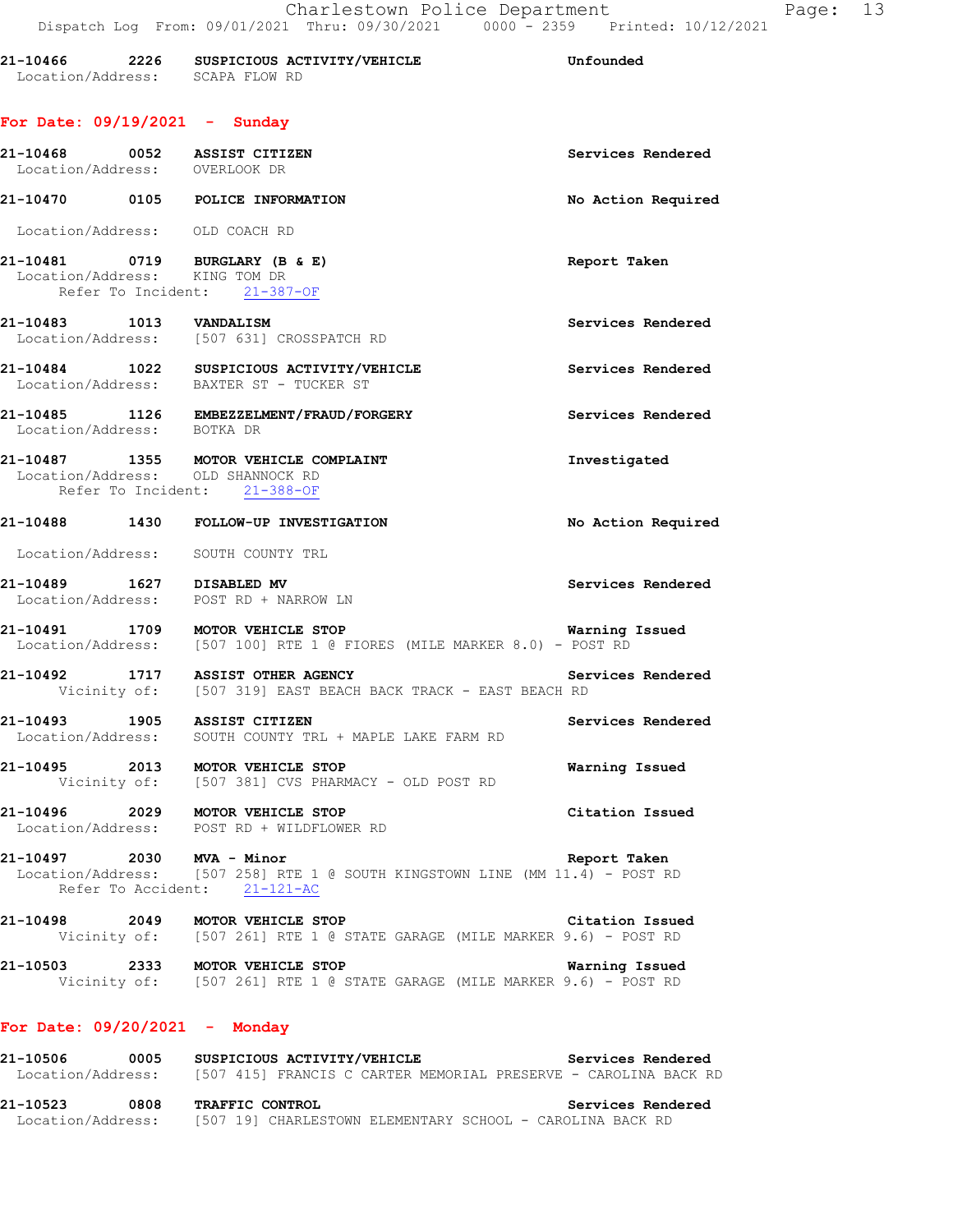| 21-10466          | 2226 |               | SUSPICIOUS ACTIVITY/VEHICLE | Unfounded |
|-------------------|------|---------------|-----------------------------|-----------|
| Location/Address: |      | SCAPA FLOW RD |                             |           |

# **For Date: 09/19/2021 - Sunday**

| For Date: 09/19/2021 - Sunday  |      |                                                                                                              |                    |
|--------------------------------|------|--------------------------------------------------------------------------------------------------------------|--------------------|
| Location/Address: OVERLOOK DR  |      | 21-10468 0052 ASSIST CITIZEN                                                                                 | Services Rendered  |
|                                |      | 21-10470 0105 POLICE INFORMATION                                                                             | No Action Required |
| Location/Address: OLD COACH RD |      |                                                                                                              |                    |
|                                |      | 21-10481 0719 BURGLARY (B & E)<br>Location/Address: KING TOM DR<br>Refer To Incident: 21-387-OF              | Report Taken       |
| 21-10483 1013 VANDALISM        |      | Location/Address: [507 631] CROSSPATCH RD                                                                    | Services Rendered  |
|                                |      | 21-10484 1022 SUSPICIOUS ACTIVITY/VEHICLE<br>Location/Address: BAXTER ST - TUCKER ST                         | Services Rendered  |
| Location/Address: BOTKA DR     |      | 21-10485 1126 EMBEZZELMENT/FRAUD/FORGERY                                                                     | Services Rendered  |
|                                |      | 21-10487 1355 MOTOR VEHICLE COMPLAINT<br>Location/Address: OLD SHANNOCK RD<br>Refer To Incident: 21-388-OF   | Investigated       |
|                                |      | 21-10488 1430 FOLLOW-UP INVESTIGATION                                                                        | No Action Required |
|                                |      | Location/Address: SOUTH COUNTY TRL                                                                           |                    |
|                                |      | 21-10489 1627 DISABLED MV<br>Location/Address: POST RD + NARROW LN                                           | Services Rendered  |
|                                |      | 21-10491 1709 MOTOR VEHICLE STOP<br>Location/Address: [507 100] RTE 1 @ FIORES (MILE MARKER 8.0) - POST RD   | Warning Issued     |
|                                |      | 21-10492 1717 ASSIST OTHER AGENCY<br>Vicinity of: [507 319] EAST BEACH BACK TRACK - EAST BEACH RD            | Services Rendered  |
| 21-10493 1905 ASSIST CITIZEN   |      | Location/Address: SOUTH COUNTY TRL + MAPLE LAKE FARM RD                                                      | Services Rendered  |
|                                |      | 21-10495 2013 MOTOR VEHICLE STOP<br>Vicinity of: [507 381] CVS PHARMACY - OLD POST RD                        | Warning Issued     |
| 21-10496                       | 2029 | MOTOR VEHICLE STOP<br>Location/Address: POST RD + WILDFLOWER RD                                              | Citation Issued    |
| 21-10497 2030 MVA - Minor      |      | Location/Address: [507 258] RTE 1 @ SOUTH KINGSTOWN LINE (MM 11.4) - POST RD<br>Refer To Accident: 21-121-AC | Report Taken       |
| 21-10498 2049                  |      | MOTOR VEHICLE STOP<br>Vicinity of: [507 261] RTE 1 @ STATE GARAGE (MILE MARKER 9.6) - POST RD                | Citation Issued    |
| 21-10503                       | 2333 | MOTOR VEHICLE STOP                                                                                           | Warning Issued     |

# Vicinity of: [507 261] RTE 1 @ STATE GARAGE (MILE MARKER 9.6) - POST RD

# **For Date: 09/20/2021 - Monday**

| 21-10506          | 0005 | SUSPICIOUS ACTIVITY/VEHICLE<br>Services Rendered                |  |
|-------------------|------|-----------------------------------------------------------------|--|
| Location/Address: |      | [507 415] FRANCIS C CARTER MEMORIAL PRESERVE - CAROLINA BACK RD |  |
|                   |      |                                                                 |  |
| 21-10523          | 0808 | Services Rendered<br><b>TRAFFIC CONTROL</b>                     |  |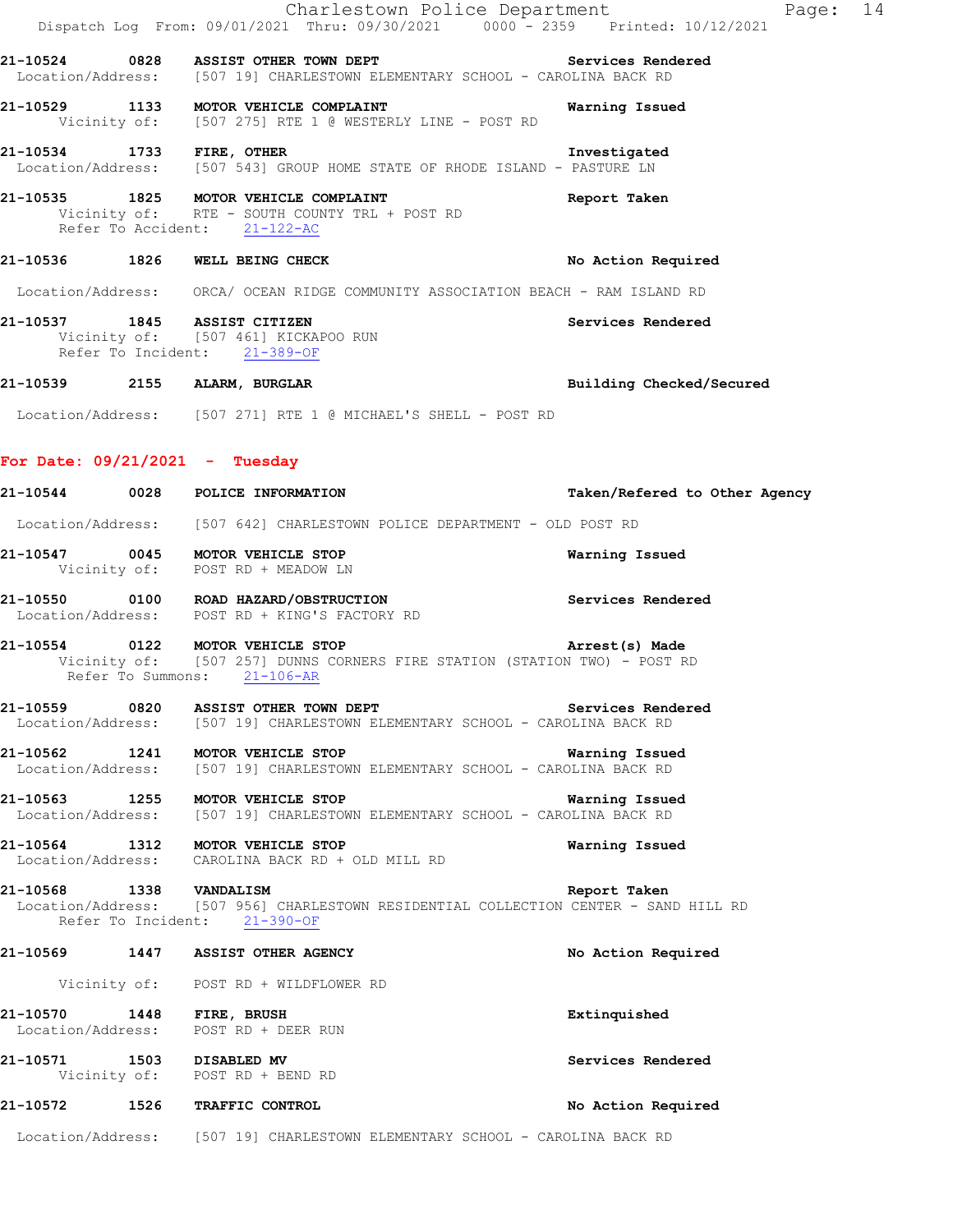|                                    | Charlestown Police Department<br>Dispatch Log From: 09/01/2021 Thru: 09/30/2021 0000 - 2359 Printed: 10/12/2021                              | Page: 14                      |
|------------------------------------|----------------------------------------------------------------------------------------------------------------------------------------------|-------------------------------|
|                                    |                                                                                                                                              |                               |
|                                    | 21-10524 0828 ASSIST OTHER TOWN DEPT SERVICES Rendered<br>Location/Address: [507 19] CHARLESTOWN ELEMENTARY SCHOOL - CAROLINA BACK RD        |                               |
|                                    | 21-10529 1133 MOTOR VEHICLE COMPLAINT<br>Vicinity of: [507 275] RTE 1 @ WESTERLY LINE - POST RD                                              | Warning Issued                |
|                                    | 21-10534 1733 FIRE, OTHER 1000 1733 FIRE, OTHER 1.10534 1733 FIRE, OTHER 1000 15 EXTEMBLE 15 LOCATION CONTRACT                               | Investigated                  |
|                                    | 21-10535 1825 MOTOR VEHICLE COMPLAINT<br>Vicinity of: RTE - SOUTH COUNTY TRL + POST RD<br>Refer To Accident: 21-122-AC                       | Report Taken                  |
|                                    | 21-10536 1826 WELL BEING CHECK                                                                                                               | No Action Required            |
|                                    | Location/Address: ORCA/ OCEAN RIDGE COMMUNITY ASSOCIATION BEACH - RAM ISLAND RD                                                              |                               |
|                                    | 21-10537 1845 ASSIST CITIZEN<br>Vicinity of: [507 461] KICKAPOO RUN<br>Refer To Incident: 21-389-OF                                          | Services Rendered             |
|                                    | 21-10539 2155 ALARM, BURGLAR                                                                                                                 | Building Checked/Secured      |
|                                    | Location/Address: [507 271] RTE 1 @ MICHAEL'S SHELL - POST RD                                                                                |                               |
| For Date: $09/21/2021$ - Tuesday   |                                                                                                                                              |                               |
|                                    | 21-10544 0028 POLICE INFORMATION                                                                                                             | Taken/Refered to Other Agency |
|                                    | Location/Address: [507 642] CHARLESTOWN POLICE DEPARTMENT - OLD POST RD                                                                      |                               |
|                                    | 21-10547 0045 MOTOR VEHICLE STOP<br>Vicinity of: POST RD + MEADOW LN                                                                         | Warning Issued                |
|                                    | 21-10550 0100 ROAD HAZARD/OBSTRUCTION<br>Location/Address: POST RD + KING'S FACTORY RD                                                       | Services Rendered             |
|                                    | 21-10554 0122 MOTOR VEHICLE STOP<br>Vicinity of: [507 257] DUNNS CORNERS FIRE STATION (STATION TWO) - POST RD<br>Refer To Summons: 21-106-AR | Arrest(s) Made                |
| 21-10559 0820<br>Location/Address: | ASSIST OTHER TOWN DEPT<br>[507 19] CHARLESTOWN ELEMENTARY SCHOOL - CAROLINA BACK RD                                                          | Services Rendered             |
|                                    | 21-10562 1241 MOTOR VEHICLE STOP<br>Location/Address: [507 19] CHARLESTOWN ELEMENTARY SCHOOL - CAROLINA BACK RD                              | Warning Issued                |
|                                    | 21-10563 1255 MOTOR VEHICLE STOP<br>Location/Address: [507 19] CHARLESTOWN ELEMENTARY SCHOOL - CAROLINA BACK RD                              | Warning Issued                |
|                                    | 21-10564 1312 MOTOR VEHICLE STOP<br>Location/Address: CAROLINA BACK RD + OLD MILL RD                                                         | Warning Issued                |
| 21-10568 1338 VANDALISM            | Location/Address: [507 956] CHARLESTOWN RESIDENTIAL COLLECTION CENTER - SAND HILL RD<br>Refer To Incident: 21-390-OF                         | Report Taken                  |
|                                    | 21-10569 1447 ASSIST OTHER AGENCY                                                                                                            | No Action Required            |
|                                    | Vicinity of: POST RD + WILDFLOWER RD                                                                                                         |                               |
| 21-10570 1448 FIRE, BRUSH          | Location/Address: POST RD + DEER RUN                                                                                                         | Extinquished                  |
| 21-10571 1503 DISABLED MV          | Vicinity of: POST RD + BEND RD                                                                                                               | Services Rendered             |
|                                    | 21-10572 1526 TRAFFIC CONTROL                                                                                                                | No Action Required            |
|                                    | Location/Address: [507 19] CHARLESTOWN ELEMENTARY SCHOOL - CAROLINA BACK RD                                                                  |                               |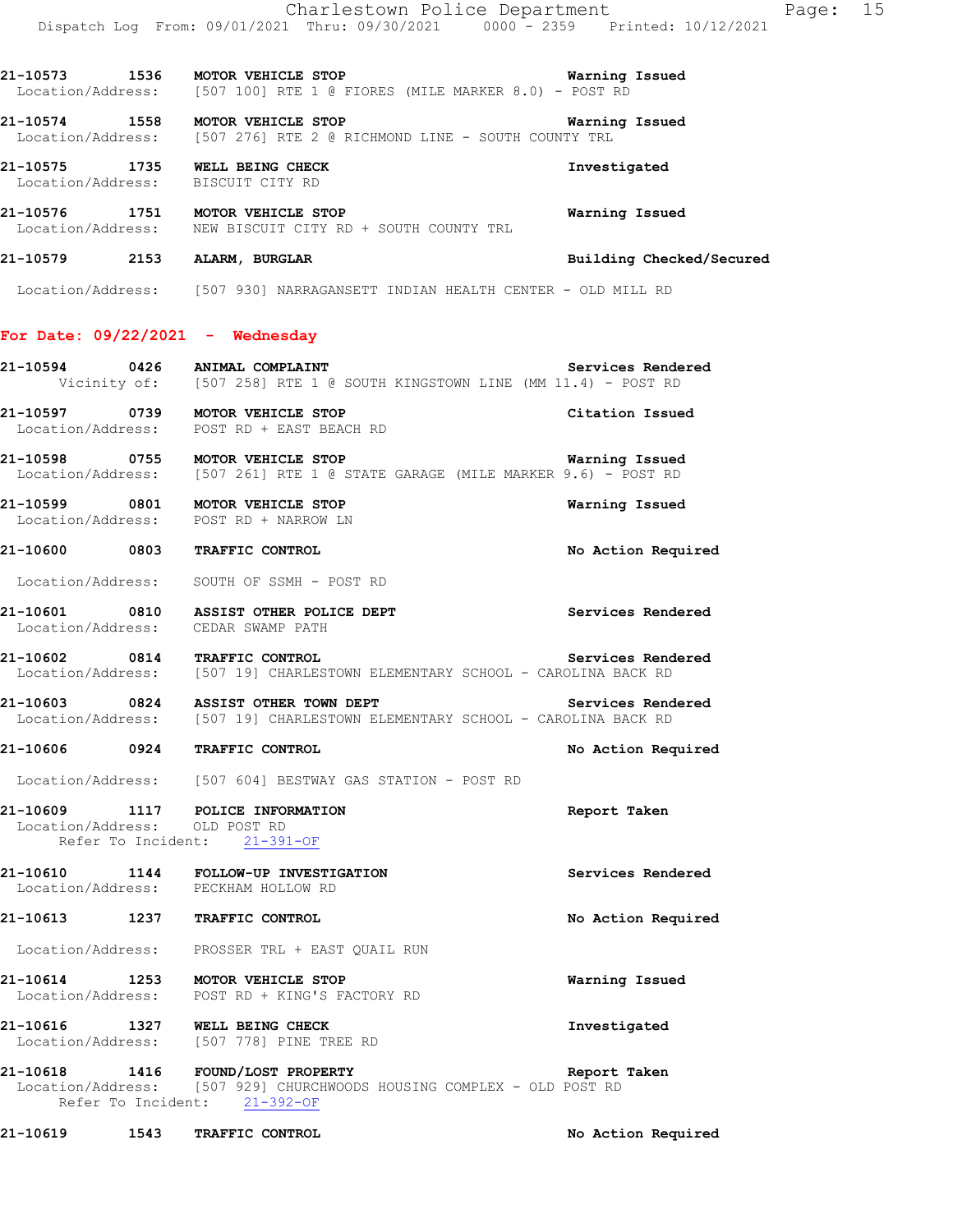Charlestown Police Department Page: 15 Dispatch Log From: 09/01/2021 Thru: 09/30/2021 0000 - 2359 Printed: 10/12/2021 **21-10573 1536 MOTOR VEHICLE STOP Warning Issued**  Location/Address: [507 100] RTE 1 @ FIORES (MILE MARKER 8.0) - POST RD **21-10574 1558 MOTOR VEHICLE STOP WATH WATHING ISSUED**<br>Location/Address: [507 276] RTE 2 @ RICHMOND LINE - SOUTH COUNTY TRL [507 276] RTE 2 @ RICHMOND LINE - SOUTH COUNTY TRL **21-10575 1735 WELL BEING CHECK Investigated**  Location/Address: BISCUIT CITY RD **21-10576 1751 MOTOR VEHICLE STOP Warning Issued**  Location/Address: NEW BISCUIT CITY RD + SOUTH COUNTY TRL **21-10579 2153 ALARM, BURGLAR Building Checked/Secured**  Location/Address: [507 930] NARRAGANSETT INDIAN HEALTH CENTER - OLD MILL RD **For Date: 09/22/2021 - Wednesday 21-10594 0426 ANIMAL COMPLAINT Services Rendered**  Vicinity of: [507 258] RTE 1 @ SOUTH KINGSTOWN LINE (MM 11.4) - POST RD **21-10597 0739 MOTOR VEHICLE STOP Citation Issued**  Location/Address: POST RD + EAST BEACH RD **21-10598 0755 MOTOR VEHICLE STOP Warning Issued**  Location/Address: [507 261] RTE 1 @ STATE GARAGE (MILE MARKER 9.6) - POST RD **21-10599 0801 MOTOR VEHICLE STOP Warning Issued**  Location/Address: POST RD + NARROW LN **21-10600 0803 TRAFFIC CONTROL No Action Required**  Location/Address: SOUTH OF SSMH - POST RD 21-10601 0810 ASSIST OTHER POLICE DEPT **Services Rendered**  Location/Address: CEDAR SWAMP PATH 21-10602 0814 TRAFFIC CONTROL Services Rendered Location/Address: [507 19] CHARLESTOWN ELEMENTARY SCHOOL - CAROLINA BACK RD [507 19] CHARLESTOWN ELEMENTARY SCHOOL - CAROLINA BACK RD **21-10603** 0824 ASSIST OTHER TOWN DEPT **Services Rendered Services Rendered Iodical Accepts** 191 CHARLESTOWN ELEMENTARY SCHOOL - CAROLINA BACK RD [507 19] CHARLESTOWN ELEMENTARY SCHOOL - CAROLINA BACK RD **21-10606 0924 TRAFFIC CONTROL No Action Required**  Location/Address: [507 604] BESTWAY GAS STATION - POST RD **21-10609 1117 POLICE INFORMATION Report Taken**  Location/Address: OLD POST RD Refer To Incident: 21-391-OF **21-10610 1144 FOLLOW-UP INVESTIGATION Services Rendered**  Location/Address: **21-10613 1237 TRAFFIC CONTROL No Action Required**  Location/Address: PROSSER TRL + EAST QUAIL RUN **21-10614 1253 MOTOR VEHICLE STOP Warning Issued**  Location/Address: POST RD + KING'S FACTORY RD **21-10616 1327 WELL BEING CHECK Investigated**  Location/Address: [507 778] PINE TREE RD **21-10618 1416 FOUND/LOST PROPERTY Report Taken**  Location/Address: [507 929] CHURCHWOODS HOUSING COMPLEX - OLD POST RD Refer To Incident: 21-392-OF

**21-10619 1543 TRAFFIC CONTROL No Action Required**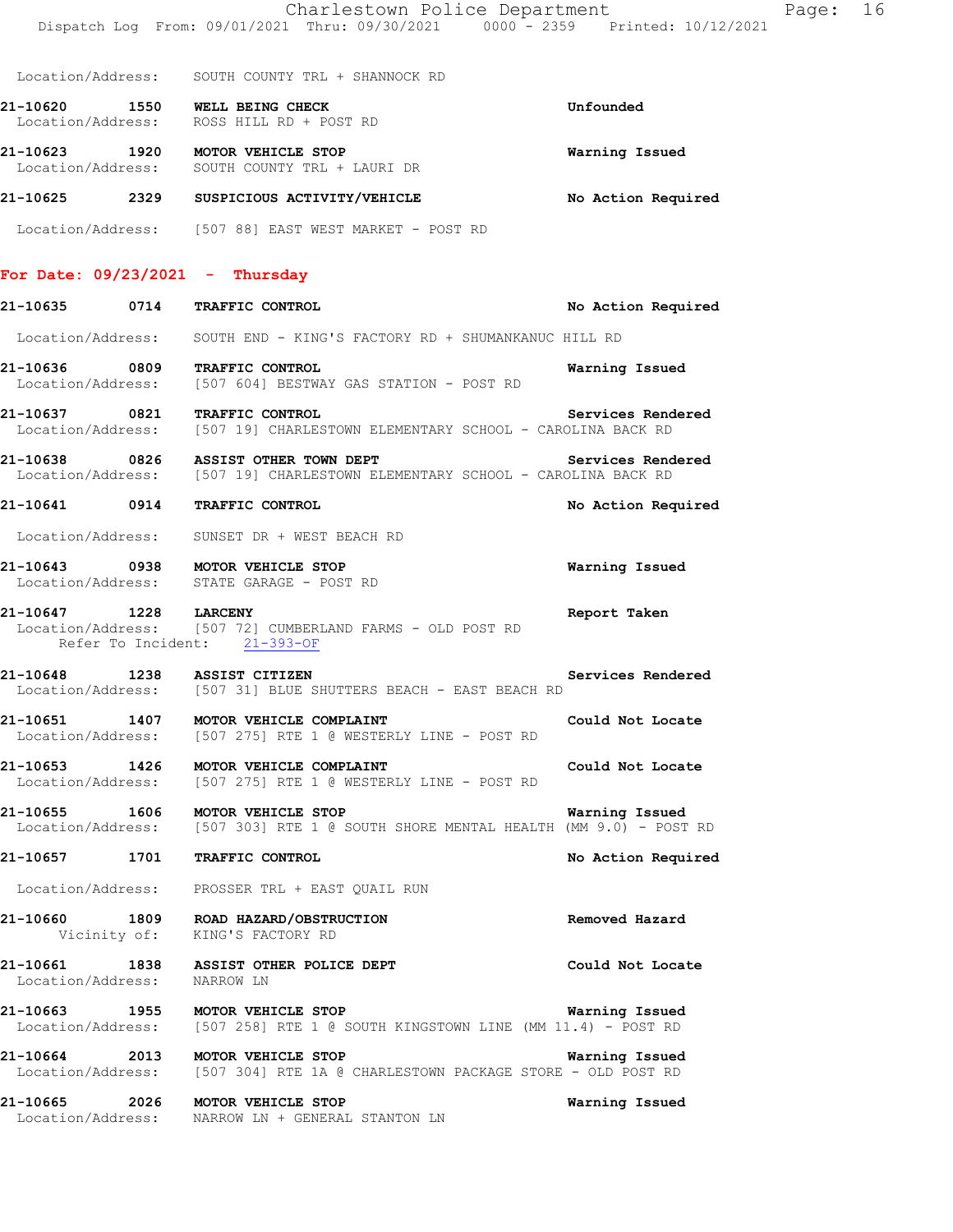Charlestown Police Department Fage: 16 Dispatch Log From: 09/01/2021 Thru: 09/30/2021 0000 - 2359 Printed: 10/12/2021 Location/Address: SOUTH COUNTY TRL + SHANNOCK RD **21-10620 1550 WELL BEING CHECK Unfounded**  Location/Address: ROSS HILL RD + POST RD **21-10623 1920 MOTOR VEHICLE STOP Warning Issued**  Location/Address: SOUTH COUNTY TRL + LAURI DR **21-10625 2329 SUSPICIOUS ACTIVITY/VEHICLE No Action Required**  Location/Address: [507 88] EAST WEST MARKET - POST RD **For Date: 09/23/2021 - Thursday 21-10635 0714 TRAFFIC CONTROL No Action Required**  Location/Address: SOUTH END - KING'S FACTORY RD + SHUMANKANUC HILL RD **21-10636 0809 TRAFFIC CONTROL Warning Issued**  Location/Address: [507 604] BESTWAY GAS STATION - POST RD **21-10637 0821 TRAFFIC CONTROL Services Rendered**  Location/Address: [507 19] CHARLESTOWN ELEMENTARY SCHOOL - CAROLINA BACK RD 21-10638 0826 ASSIST OTHER TOWN DEPT **Services Rendered** Location/Address: [507 19] CHARLESTOWN ELEMENTARY SCHOOL - CAROLINA BACK RD [507 19] CHARLESTOWN ELEMENTARY SCHOOL - CAROLINA BACK RD **21-10641 0914 TRAFFIC CONTROL No Action Required**  Location/Address: SUNSET DR + WEST BEACH RD **21-10643 0938 MOTOR VEHICLE STOP Warning Issued**  Location/Address: STATE GARAGE - POST RD **21-10647 1228 LARCENY Report Taken**  Location/Address: [507 72] CUMBERLAND FARMS - OLD POST RD Refer To Incident: 21-393-OF **21-10648 1238 ASSIST CITIZEN Services Rendered**  Location/Address: [507 31] BLUE SHUTTERS BEACH - EAST BEACH RD **21-10651 1407 MOTOR VEHICLE COMPLAINT Could Not Locate** Location/Address: [507 275] RTE 1 @ WESTERLY LINE - POST RD [507 275] RTE 1 @ WESTERLY LINE - POST RD **21-10653 1426 MOTOR VEHICLE COMPLAINT Could Not Locate**  Location/Address: [507 275] RTE 1 @ WESTERLY LINE - POST RD **21-10655 1606 MOTOR VEHICLE STOP WATNING ISSUED WARNING ISSUED WARNING ISSUED WARNING LOCATION/Address:** [507 303] RTE 1 @ SOUTH SHORE MENTAL HEALTH (MM 9.0) - POST [507 303] RTE 1 @ SOUTH SHORE MENTAL HEALTH (MM 9.0) - POST RD **21-10657 1701 TRAFFIC CONTROL No Action Required**  Location/Address: PROSSER TRL + EAST QUAIL RUN **21-10660 1809 ROAD HAZARD/OBSTRUCTION Removed Hazard**  Vicinity of: KING'S FACTORY RD **21-10661 1838 ASSIST OTHER POLICE DEPT Could Not Locate**  Location/Address: NARROW LN **21-10663 1955 MOTOR VEHICLE STOP Warning Issued**  Location/Address: [507 258] RTE 1 @ SOUTH KINGSTOWN LINE (MM 11.4) - POST RD **21-10664 2013 MOTOR VEHICLE STOP Warning Issued**  Location/Address: [507 304] RTE 1A @ CHARLESTOWN PACKAGE STORE - OLD POST RD **21-10665 2026 MOTOR VEHICLE STOP Warning Issued**  Location/Address: NARROW LN + GENERAL STANTON LN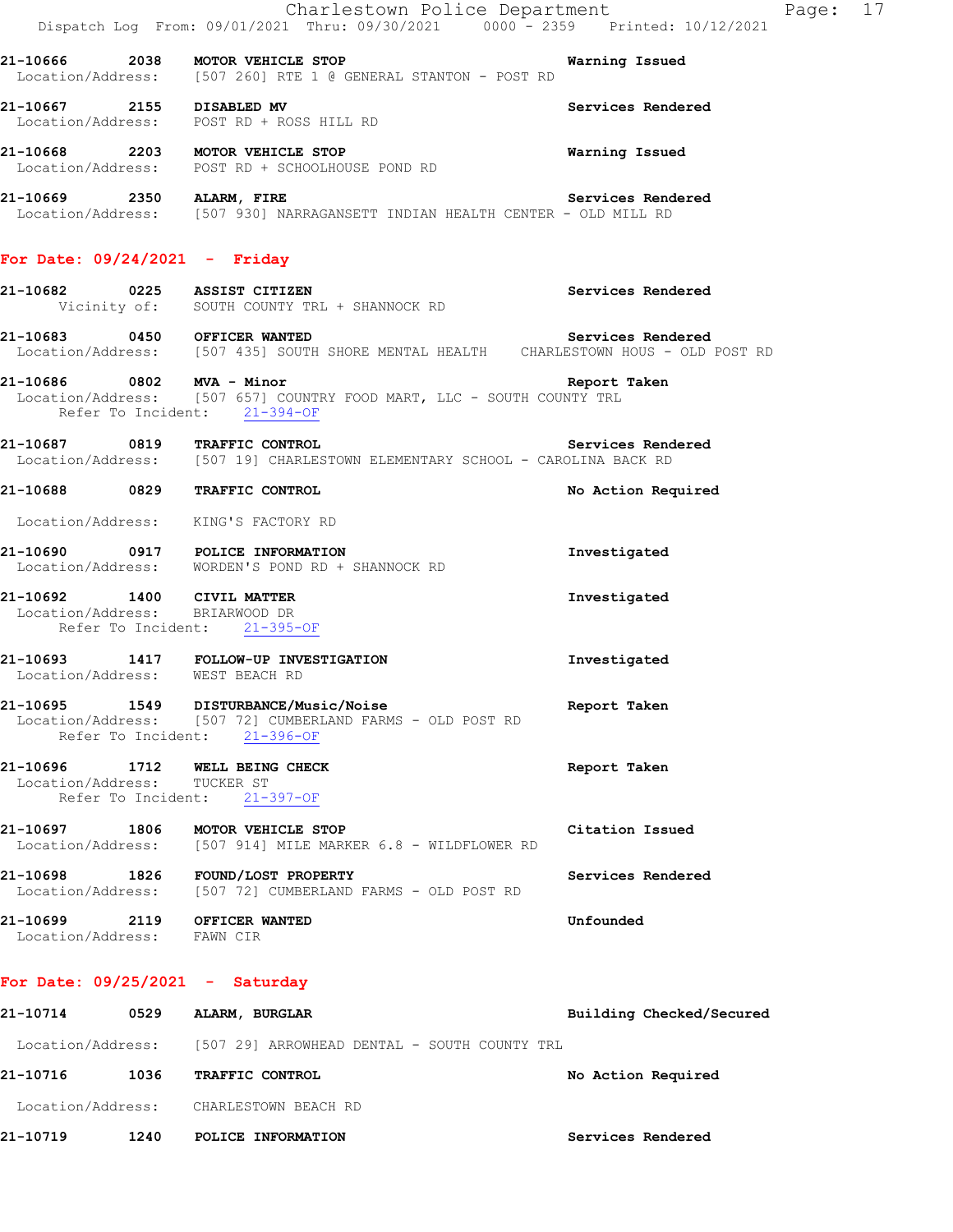|                                    |                    | Charlestown Police Department<br>Dispatch Log From: 09/01/2021 Thru: 09/30/2021 0000 <sup>-</sup> 2359 Printed: 10/12/2021         | Page: 17                 |  |
|------------------------------------|--------------------|------------------------------------------------------------------------------------------------------------------------------------|--------------------------|--|
|                                    |                    | 21-10666 2038 MOTOR VEHICLE STOP<br>Location/Address: [507 260] RTE 1 @ GENERAL STANTON - POST RD                                  | Warning Issued           |  |
|                                    |                    | 21-10667 2155 DISABLED MV<br>Location/Address: POST RD + ROSS HILL RD                                                              | Services Rendered        |  |
|                                    |                    | 21-10668 2203 MOTOR VEHICLE STOP<br>Location/Address: POST RD + SCHOOLHOUSE POND RD                                                | Warning Issued           |  |
|                                    |                    | 21-10669 2350 ALARM, FIRE Services Rend<br>Location/Address: [507 930] NARRAGANSETT INDIAN HEALTH CENTER - OLD MILL RD             | Services Rendered        |  |
|                                    |                    | For Date: $09/24/2021$ - Friday                                                                                                    |                          |  |
|                                    |                    | Vicinity of: SOUTH COUNTY TRL + SHANNOCK RD                                                                                        | Services Rendered        |  |
|                                    |                    | 21-10683 0450 OFFICER WANTED<br>Location/Address: [507 435] SOUTH SHORE MENTAL HEALTH CHARLESTOWN HOUS - OLD POST RD               |                          |  |
|                                    |                    | 21-10686 0802 MVA - Minor<br>Location/Address: [507 657] COUNTRY FOOD MART, LLC - SOUTH COUNTY TRL<br>Refer To Incident: 21-394-OF | Report Taken             |  |
|                                    |                    | 21-10687 0819 TRAFFIC CONTROL<br>Location/Address: [507 19] CHARLESTOWN ELEMENTARY SCHOOL - CAROLINA BACK RD                       | Services Rendered        |  |
|                                    |                    | 21-10688 0829 TRAFFIC CONTROL                                                                                                      | No Action Required       |  |
|                                    |                    | Location/Address: KING'S FACTORY RD                                                                                                |                          |  |
|                                    |                    | 21-10690 0917 POLICE INFORMATION<br>Location/Address: WORDEN'S POND RD + SHANNOCK RD                                               | Investigated             |  |
|                                    |                    | 21-10692 1400 CIVIL MATTER<br>Location/Address: BRIARWOOD DR<br>Refer To Incident: 21-395-OF                                       | Investigated             |  |
|                                    |                    | 21-10693 1417 FOLLOW-UP INVESTIGATION<br>Location/Address: WEST BEACH RD                                                           | Investigated             |  |
| 21-10695                           |                    | 1549 DISTURBANCE/Music/Noise<br>Location/Address: [507 72] CUMBERLAND FARMS - OLD POST RD<br>Refer To Incident: 21-396-OF          | Report Taken             |  |
| Location/Address:                  | Refer To Incident: | 21-10696 1712 WELL BEING CHECK<br>TUCKER ST<br>$21 - 397 - OF$                                                                     | Report Taken             |  |
| 21-10697 1806<br>Location/Address: |                    | MOTOR VEHICLE STOP<br>[507 914] MILE MARKER 6.8 - WILDFLOWER RD                                                                    | Citation Issued          |  |
| Location/Address:                  |                    | 21-10698 1826 FOUND/LOST PROPERTY<br>[507 72] CUMBERLAND FARMS - OLD POST RD                                                       | Services Rendered        |  |
| Location/Address: FAWN CIR         |                    | 21-10699 2119 OFFICER WANTED                                                                                                       | Unfounded                |  |
|                                    |                    | For Date: $09/25/2021 -$ Saturday                                                                                                  |                          |  |
| 21-10714                           | 0529               | ALARM, BURGLAR                                                                                                                     | Building Checked/Secured |  |
|                                    |                    | Location/Address: [507 29] ARROWHEAD DENTAL - SOUTH COUNTY TRL                                                                     |                          |  |
| 21-10716                           | 1036               | TRAFFIC CONTROL                                                                                                                    | No Action Required       |  |
|                                    |                    | Location/Address: CHARLESTOWN BEACH RD                                                                                             |                          |  |
| 21-10719                           |                    | 1240 POLICE INFORMATION                                                                                                            | Services Rendered        |  |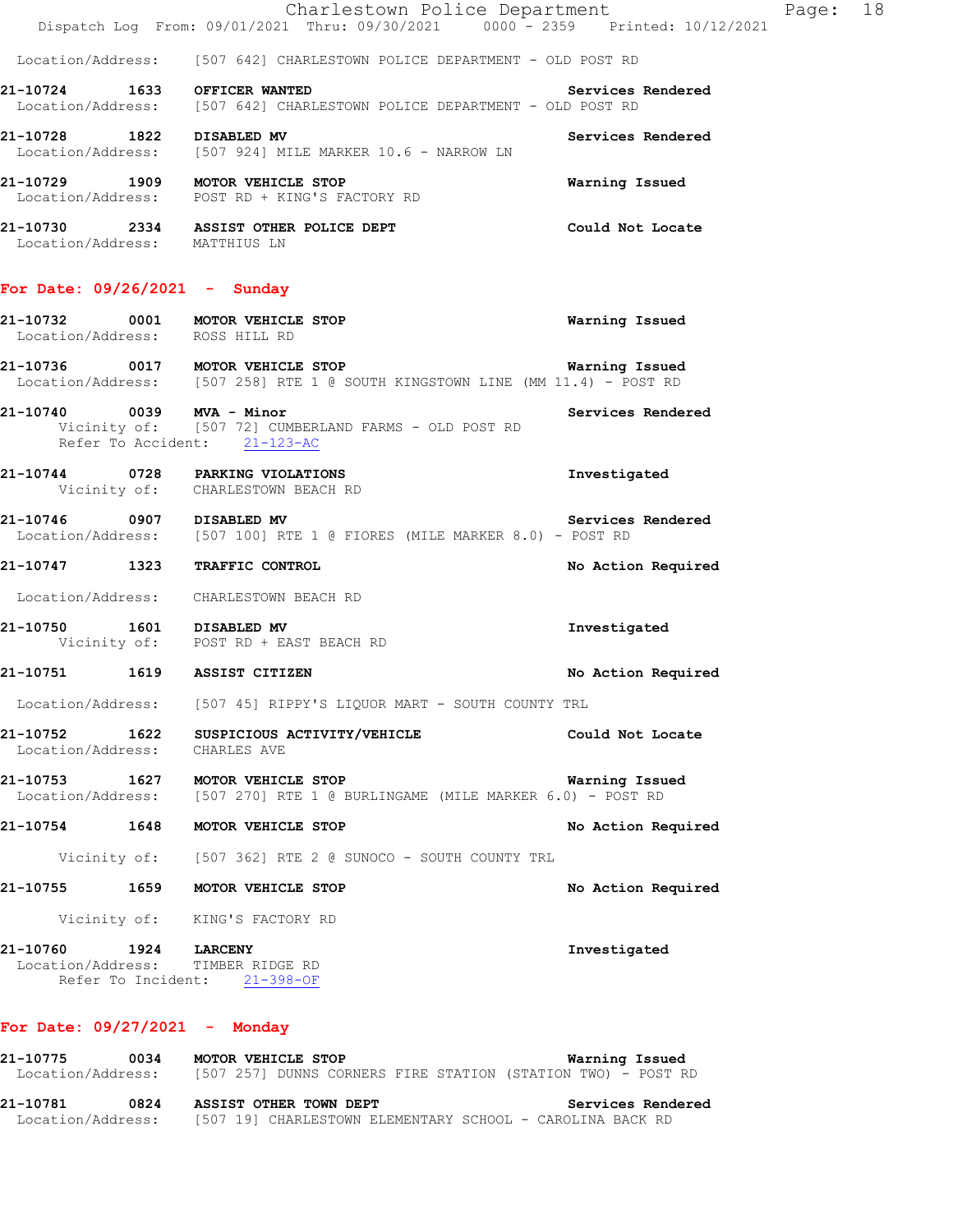|                                 | Charlestown Police Department                                                             |                   | Page: | 18 |
|---------------------------------|-------------------------------------------------------------------------------------------|-------------------|-------|----|
|                                 | Dispatch Log From: 09/01/2021 Thru: 09/30/2021 0000 - 2359 Printed: 10/12/2021            |                   |       |    |
|                                 | Location/Address: [507 642] CHARLESTOWN POLICE DEPARTMENT - OLD POST RD                   |                   |       |    |
| 21-10724 1633                   | OFFICER WANTED<br>Location/Address: [507 642] CHARLESTOWN POLICE DEPARTMENT - OLD POST RD | Services Rendered |       |    |
| 21-10728 1822                   | <b>DISABLED MV</b><br>Location/Address: [507 924] MILE MARKER 10.6 - NARROW LN            | Services Rendered |       |    |
| 21-10729 1909                   | MOTOR VEHICLE STOP<br>Location/Address: POST RD + KING'S FACTORY RD                       | Warning Issued    |       |    |
| Location/Address:               | 21-10730   2334   ASSIST OTHER POLICE DEPT<br>MATTHIUS LN                                 | Could Not Locate  |       |    |
| For Date: $09/26/2021 -$ Sunday |                                                                                           |                   |       |    |

 Location/Address: ROSS HILL RD **21-10736 0017 MOTOR VEHICLE STOP Warning Issued**  Location/Address: [507 258] RTE 1 @ SOUTH KINGSTOWN LINE (MM 11.4) - POST RD

**21-10732 0001 MOTOR VEHICLE STOP Warning Issued** 

- **21-10740** 0039 MVA Minor<br>Vicinity of: [507 72] CUMBERLAND FARMS OLD POST RD<br> [507 72] CUMBERLAND FARMS - OLD POST RD Refer To Accident: 21-123-AC
- **21-10744 0728 PARKING VIOLATIONS Investigated**  Vicinity of: CHARLESTOWN BEACH RD
- **21-10746 0907 DISABLED MV Services Rendered**  Location/Address: [507 100] RTE 1 @ FIORES (MILE MARKER 8.0) - POST RD
- **21-10747 1323 TRAFFIC CONTROL No Action Required**

Location/Address: CHARLESTOWN BEACH RD

- **21-10750 1601 DISABLED MV Investigated**  Vicinity of: POST RD + EAST BEACH RD
- **21-10751 1619 ASSIST CITIZEN No Action Required**

Location/Address: [507 45] RIPPY'S LIQUOR MART - SOUTH COUNTY TRL

- **21-10752 1622 SUSPICIOUS ACTIVITY/VEHICLE Could Not Locate**  Location/Address: CHARLES AVE
- **21-10753 1627 MOTOR VEHICLE STOP Warning Issued**  Location/Address: [507 270] RTE 1 @ BURLINGAME (MILE MARKER 6.0) - POST RD
- **21-10754 1648 MOTOR VEHICLE STOP No Action Required**

Vicinity of: [507 362] RTE 2 @ SUNOCO - SOUTH COUNTY TRL

**21-10755 1659 MOTOR VEHICLE STOP No Action Required** 

Vicinity of: KING'S FACTORY RD

**21-10760 1924 LARCENY Investigated**  Location/Address: TIMBER RIDGE RD Refer To Incident: 21-398-OF

# **For Date: 09/27/2021 - Monday**

| 21-10775          | 0034 | MOTOR VEHICLE STOP                                           | Warning Issued    |
|-------------------|------|--------------------------------------------------------------|-------------------|
| Location/Address: |      | [507 257] DUNNS CORNERS FIRE STATION (STATION TWO) - POST RD |                   |
| 21-10781          | 0824 | ASSIST OTHER TOWN DEPT                                       | Services Rendered |
| Location/Address: |      | [507 19] CHARLESTOWN ELEMENTARY SCHOOL - CAROLINA BACK RD    |                   |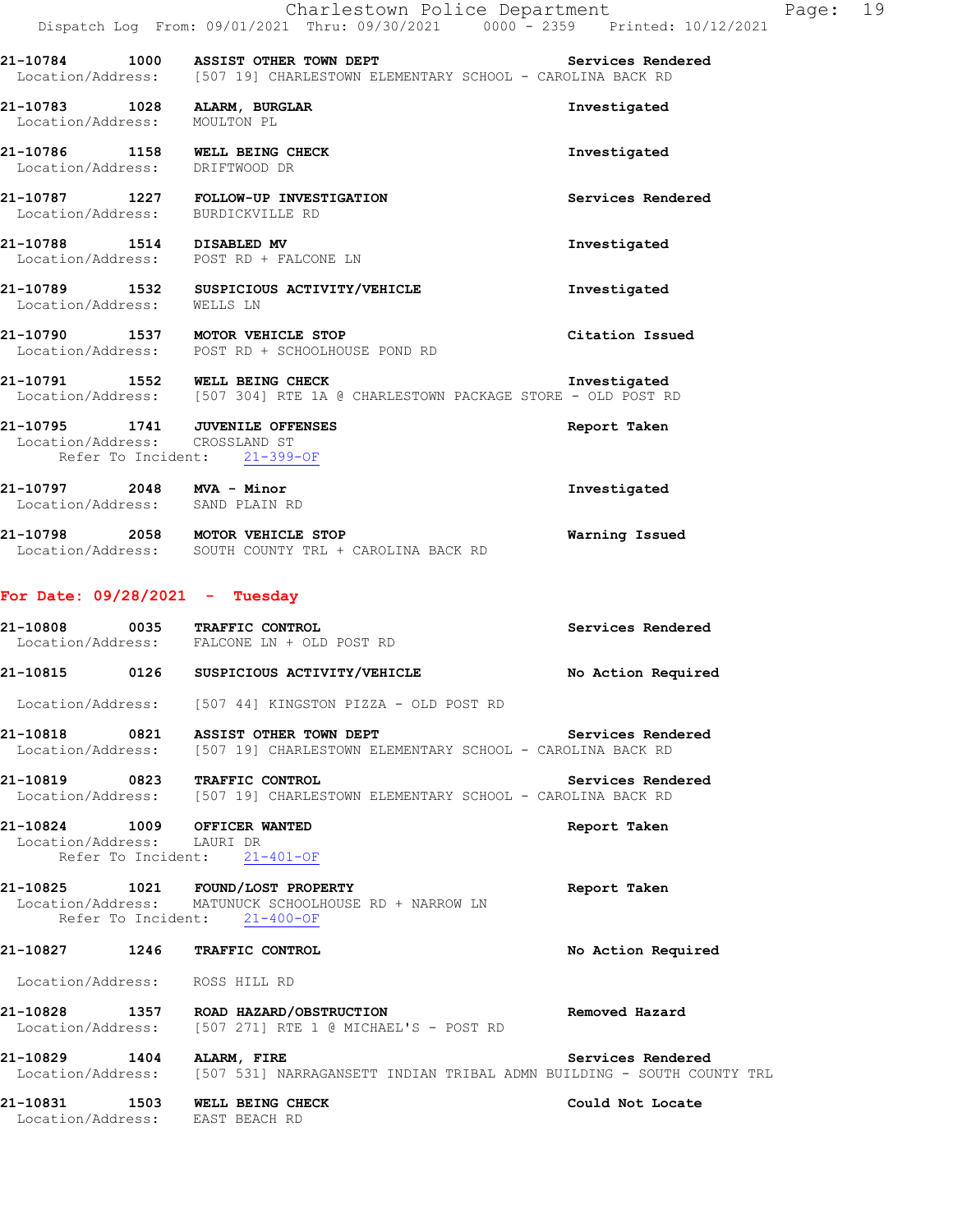Dispatch Log From: 09/01/2021 Thru: 09/30/2021 0000 - 2359 Printed: 10/12/2021 **21-10784 1000 ASSIST OTHER TOWN DEPT Services Rendered**  Location/Address: [507 19] CHARLESTOWN ELEMENTARY SCHOOL - CAROLINA BACK RD **21-10783 1028 ALARM, BURGLAR Investigated**  Location/Address: MOULTON PL **21-10786 1158 WELL BEING CHECK Investigated**  Location/Address: DRIFTWOOD DR **21-10787 1227 FOLLOW-UP INVESTIGATION Services Rendered**  Location/Address: BURDICKVILLE RD **21-10788 1514 DISABLED MV Investigated**  Location/Address: POST RD + FALCONE LN **21-10789 1532 SUSPICIOUS ACTIVITY/VEHICLE Investigated**  Location/Address: WELLS LN **21-10790 1537 MOTOR VEHICLE STOP Citation Issued**  Location/Address: POST RD + SCHOOLHOUSE POND RD **21-10791 1552 WELL BEING CHECK Investigated**  Location/Address: [507 304] RTE 1A @ CHARLESTOWN PACKAGE STORE - OLD POST RD **21-10795 1741 JUVENILE OFFENSES Report Taken**  Location/Address: CROSSLAND ST Refer To Incident: 21-399-OF **21-10797 2048 MVA - Minor Investigated**  Location/Address: SAND PLAIN RD **21-10798 2058 MOTOR VEHICLE STOP Warning Issued**  Location/Address: SOUTH COUNTY TRL + CAROLINA BACK RD **For Date: 09/28/2021 - Tuesday 21-10808 0035 TRAFFIC CONTROL Services Rendered**  Location/Address: FALCONE LN + OLD POST RD **21-10815 0126 SUSPICIOUS ACTIVITY/VEHICLE No Action Required**  Location/Address: [507 44] KINGSTON PIZZA - OLD POST RD 21-10818 **0821 ASSIST OTHER TOWN DEPT Services Rendered**  Location/Address: [507 19] CHARLESTOWN ELEMENTARY SCHOOL - CAROLINA BACK RD **21-10819 0823 TRAFFIC CONTROL Services Rendered**  Location/Address: [507 19] CHARLESTOWN ELEMENTARY SCHOOL - CAROLINA BACK RD **21-10824 1009 OFFICER WANTED Report Taken**  Location/Address: LAURI DR Refer To Incident: 21-401-OF **21-10825 1021 FOUND/LOST PROPERTY Report Taken**  Location/Address: MATUNUCK SCHOOLHOUSE RD + NARROW LN Refer To Incident: 21-400-OF **21-10827 1246 TRAFFIC CONTROL No Action Required**  Location/Address: ROSS HILL RD **21-10828 1357 ROAD HAZARD/OBSTRUCTION Removed Hazard**  Location/Address: [507 271] RTE 1 @ MICHAEL'S - POST RD **21-10829 1404 ALARM, FIRE Services Rendered**  Location/Address: [507 531] NARRAGANSETT INDIAN TRIBAL ADMN BUILDING - SOUTH COUNTY TRL 21-10831 1503 WELL BEING CHECK **1503** Could Not Locate Location/Address: EAST BEACH RD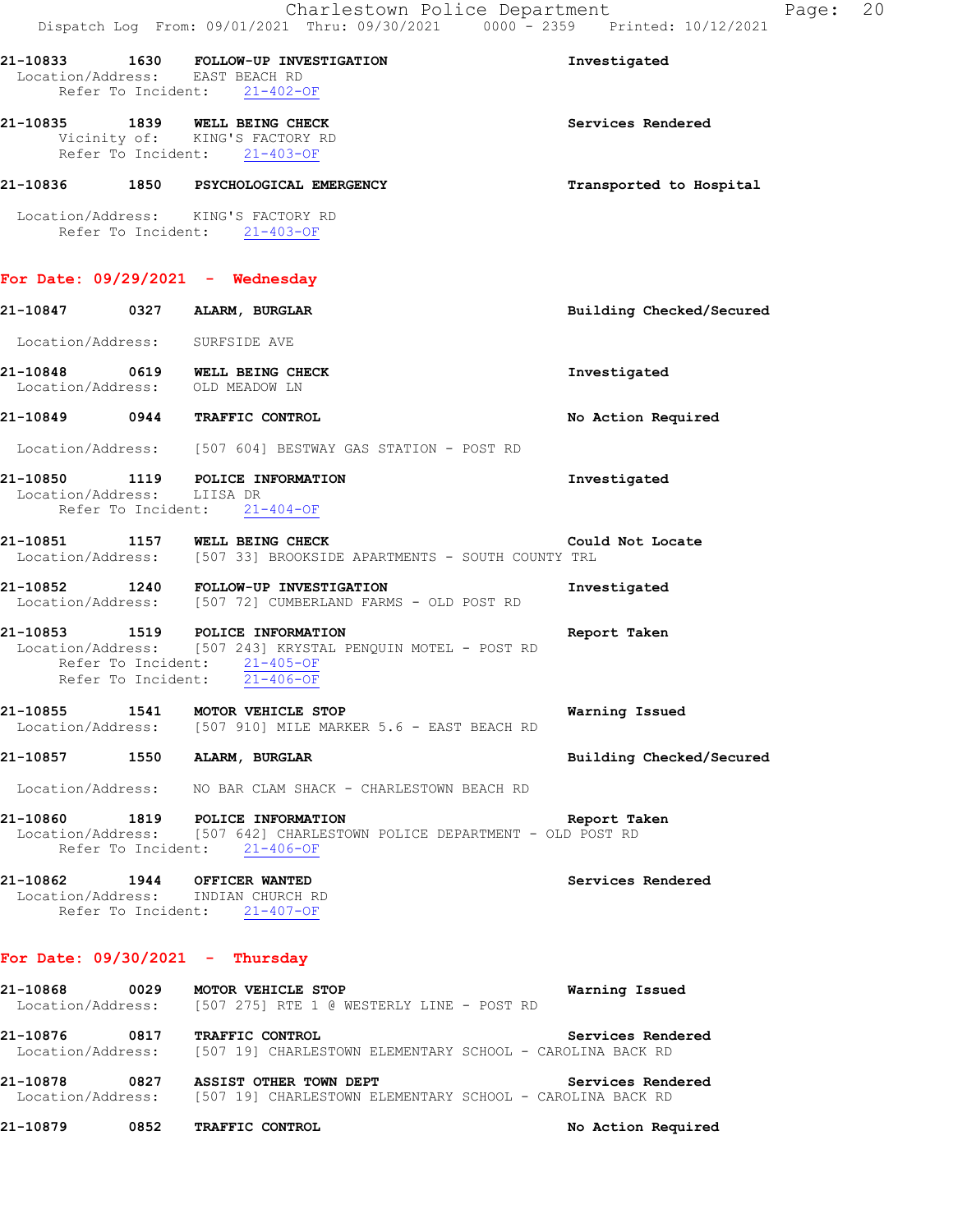|                            |      | Dispatch Log From: 09/01/2021 Thru: 09/30/2021 0000 - 2359 Printed: 10/12/2021                                                                                  |                          |
|----------------------------|------|-----------------------------------------------------------------------------------------------------------------------------------------------------------------|--------------------------|
|                            |      | 21-10833 1630 FOLLOW-UP INVESTIGATION<br>Location/Address: EAST BEACH RD<br>Refer To Incident: 21-402-OF                                                        | Investigated             |
|                            |      | 21-10835 1839 WELL BEING CHECK<br>Vicinity of: KING'S FACTORY RD<br>Refer To Incident: 21-403-OF                                                                | Services Rendered        |
|                            |      | 21-10836 1850 PSYCHOLOGICAL EMERGENCY                                                                                                                           | Transported to Hospital  |
|                            |      | Location/Address: KING'S FACTORY RD<br>Refer To Incident: 21-403-OF                                                                                             |                          |
|                            |      | For Date: $09/29/2021$ - Wednesday                                                                                                                              |                          |
|                            |      | 21-10847 0327 ALARM, BURGLAR                                                                                                                                    | Building Checked/Secured |
|                            |      | Location/Address: SURFSIDE AVE                                                                                                                                  |                          |
|                            |      | 21-10848 0619 WELL BEING CHECK<br>Location/Address: OLD MEADOW LN                                                                                               | Investigated             |
|                            |      | 21-10849 0944 TRAFFIC CONTROL                                                                                                                                   | No Action Required       |
|                            |      | Location/Address: [507 604] BESTWAY GAS STATION - POST RD                                                                                                       |                          |
| Location/Address: LIISA DR |      | 21-10850 1119 POLICE INFORMATION<br>Refer To Incident: 21-404-OF                                                                                                | Investigated             |
|                            |      | 21-10851 1157 WELL BEING CHECK<br>Location/Address: [507 33] BROOKSIDE APARTMENTS - SOUTH COUNTY TRL                                                            | Could Not Locate         |
|                            |      | 21-10852 1240 FOLLOW-UP INVESTIGATION<br>Location/Address: [507 72] CUMBERLAND FARMS - OLD POST RD                                                              | Investigated             |
|                            |      | 21-10853 1519 POLICE INFORMATION<br>Location/Address: [507 243] KRYSTAL PENQUIN MOTEL - POST RD<br>Refer To Incident: 21-405-OF<br>Refer To Incident: 21-406-OF | Report Taken             |
| 21-10855                   |      | 1541 MOTOR VEHICLE STOP<br>Location/Address: [507 910] MILE MARKER 5.6 - EAST BEACH RD                                                                          | Warning Issued           |
| 21-10857                   |      | 1550 ALARM, BURGLAR                                                                                                                                             | Building Checked/Secured |
|                            |      | Location/Address: NO BAR CLAM SHACK - CHARLESTOWN BEACH RD                                                                                                      |                          |
| 21-10860 1819              |      | POLICE INFORMATION<br>Location/Address: [507 642] CHARLESTOWN POLICE DEPARTMENT - OLD POST RD<br>Refer To Incident: 21-406-OF                                   | Report Taken             |
|                            |      | 21-10862 1944 OFFICER WANTED<br>Location/Address: INDIAN CHURCH RD<br>Refer To Incident: 21-407-OF                                                              | Services Rendered        |
|                            |      | For Date: $09/30/2021$ - Thursday                                                                                                                               |                          |
| 21-10868                   | 0029 | MOTOR VEHICLE STOP<br>Location/Address: [507 275] RTE 1 @ WESTERLY LINE - POST RD                                                                               | Warning Issued           |

**21-10876 0817 TRAFFIC CONTROL Services Rendered**  Location/Address: [507 19] CHARLESTOWN ELEMENTARY SCHOOL - CAROLINA BACK RD

**21-10878 0827 ASSIST OTHER TOWN DEPT Services Rendered**  Location/Address: [507 19] CHARLESTOWN ELEMENTARY SCHOOL - CAROLINA BACK RD

**21-10879 0852 TRAFFIC CONTROL No Action Required**